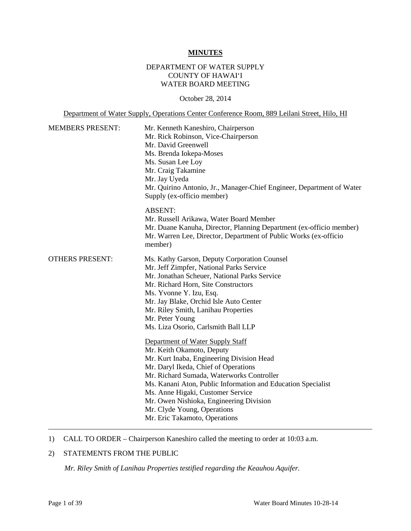#### **MINUTES**

# DEPARTMENT OF WATER SUPPLY COUNTY OF HAWAI'I WATER BOARD MEETING

October 28, 2014

Department of Water Supply, Operations Center Conference Room, 889 Leilani Street, Hilo, HI

| <b>MEMBERS PRESENT:</b> | Mr. Kenneth Kaneshiro, Chairperson<br>Mr. Rick Robinson, Vice-Chairperson<br>Mr. David Greenwell<br>Ms. Brenda Iokepa-Moses<br>Ms. Susan Lee Loy<br>Mr. Craig Takamine<br>Mr. Jay Uyeda<br>Mr. Quirino Antonio, Jr., Manager-Chief Engineer, Department of Water<br>Supply (ex-officio member)                                                                                                                  |
|-------------------------|-----------------------------------------------------------------------------------------------------------------------------------------------------------------------------------------------------------------------------------------------------------------------------------------------------------------------------------------------------------------------------------------------------------------|
|                         | <b>ABSENT:</b><br>Mr. Russell Arikawa, Water Board Member<br>Mr. Duane Kanuha, Director, Planning Department (ex-officio member)<br>Mr. Warren Lee, Director, Department of Public Works (ex-officio<br>member)                                                                                                                                                                                                 |
| <b>OTHERS PRESENT:</b>  | Ms. Kathy Garson, Deputy Corporation Counsel<br>Mr. Jeff Zimpfer, National Parks Service<br>Mr. Jonathan Scheuer, National Parks Service<br>Mr. Richard Horn, Site Constructors<br>Ms. Yvonne Y. Izu, Esq.<br>Mr. Jay Blake, Orchid Isle Auto Center<br>Mr. Riley Smith, Lanihau Properties<br>Mr. Peter Young<br>Ms. Liza Osorio, Carlsmith Ball LLP                                                           |
|                         | Department of Water Supply Staff<br>Mr. Keith Okamoto, Deputy<br>Mr. Kurt Inaba, Engineering Division Head<br>Mr. Daryl Ikeda, Chief of Operations<br>Mr. Richard Sumada, Waterworks Controller<br>Ms. Kanani Aton, Public Information and Education Specialist<br>Ms. Anne Higaki, Customer Service<br>Mr. Owen Nishioka, Engineering Division<br>Mr. Clyde Young, Operations<br>Mr. Eric Takamoto, Operations |

# 1) CALL TO ORDER – Chairperson Kaneshiro called the meeting to order at 10:03 a.m.

# 2) STATEMENTS FROM THE PUBLIC

*Mr. Riley Smith of Lanihau Properties testified regarding the Keauhou Aquifer.*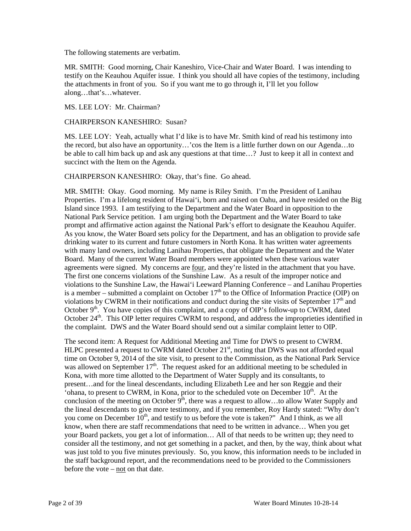The following statements are verbatim.

MR. SMITH: Good morning, Chair Kaneshiro, Vice-Chair and Water Board. I was intending to testify on the Keauhou Aquifer issue. I think you should all have copies of the testimony, including the attachments in front of you. So if you want me to go through it, I'll let you follow along…that's…whatever.

MS. LEE LOY: Mr. Chairman?

CHAIRPERSON KANESHIRO: Susan?

MS. LEE LOY: Yeah, actually what I'd like is to have Mr. Smith kind of read his testimony into the record, but also have an opportunity…'cos the Item is a little further down on our Agenda…to be able to call him back up and ask any questions at that time…? Just to keep it all in context and succinct with the Item on the Agenda.

CHAIRPERSON KANESHIRO: Okay, that's fine. Go ahead.

MR. SMITH: Okay. Good morning. My name is Riley Smith. I'm the President of Lanihau Properties. I'm a lifelong resident of Hawai'i, born and raised on Oahu, and have resided on the Big Island since 1993. I am testifying to the Department and the Water Board in opposition to the National Park Service petition. I am urging both the Department and the Water Board to take prompt and affirmative action against the National Park's effort to designate the Keauhou Aquifer. As you know, the Water Board sets policy for the Department, and has an obligation to provide safe drinking water to its current and future customers in North Kona. It has written water agreements with many land owners, including Lanihau Properties, that obligate the Department and the Water Board. Many of the current Water Board members were appointed when these various water agreements were signed. My concerns are four, and they're listed in the attachment that you have. The first one concerns violations of the Sunshine Law. As a result of the improper notice and violations to the Sunshine Law, the Hawai'i Leeward Planning Conference – and Lanihau Properties is a member – submitted a complaint on October  $17<sup>th</sup>$  to the Office of Information Practice (OIP) on violations by CWRM in their notifications and conduct during the site visits of September  $17<sup>th</sup>$  and October  $9<sup>th</sup>$ . You have copies of this complaint, and a copy of OIP's follow-up to CWRM, dated October 24<sup>th</sup>. This OIP letter requires CWRM to respond, and address the improprieties identified in the complaint. DWS and the Water Board should send out a similar complaint letter to OIP.

The second item: A Request for Additional Meeting and Time for DWS to present to CWRM. HLPC presented a request to CWRM dated October 21<sup>st</sup>, noting that DWS was not afforded equal time on October 9, 2014 of the site visit, to present to the Commission, as the National Park Service was allowed on September  $17<sup>th</sup>$ . The request asked for an additional meeting to be scheduled in Kona, with more time allotted to the Department of Water Supply and its consultants, to present…and for the lineal descendants, including Elizabeth Lee and her son Reggie and their 'ohana, to present to CWRM, in Kona, prior to the scheduled vote on December  $10<sup>th</sup>$ . At the conclusion of the meeting on October  $9<sup>th</sup>$ , there was a request to allow...to allow Water Supply and the lineal descendants to give more testimony, and if you remember, Roy Hardy stated: "Why don't you come on December  $10^{th}$ , and testify to us before the vote is taken?" And I think, as we all know, when there are staff recommendations that need to be written in advance… When you get your Board packets, you get a lot of information… All of that needs to be written up; they need to consider all the testimony, and not get something in a packet, and then, by the way, think about what was just told to you five minutes previously. So, you know, this information needs to be included in the staff background report, and the recommendations need to be provided to the Commissioners before the vote – not on that date.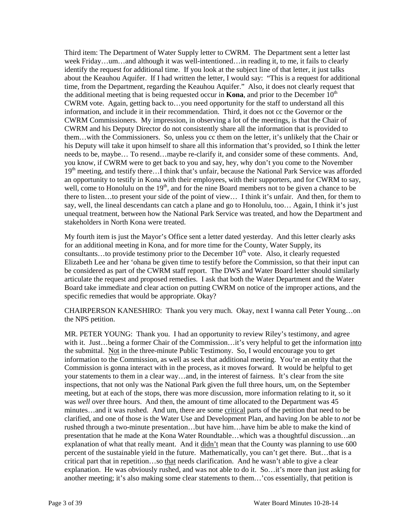Third item: The Department of Water Supply letter to CWRM. The Department sent a letter last week Friday…um…and although it was well-intentioned…in reading it, to me, it fails to clearly identify the request for additional time. If you look at the subject line of that letter, it just talks about the Keauhou Aquifer. If I had written the letter, I would say: "This is a request for additional time, from the Department, regarding the Keauhou Aquifer." Also, it does not clearly request that the additional meeting that is being requested occur in **Kona**, and prior to the December  $10<sup>th</sup>$ CWRM vote. Again, getting back to…you need opportunity for the staff to understand all this information, and include it in their recommendation. Third, it does not cc the Governor or the CWRM Commissioners. My impression, in observing a lot of the meetings, is that the Chair of CWRM and his Deputy Director do not consistently share all the information that is provided to them…with the Commissioners. So, unless you cc them on the letter, it's unlikely that the Chair or his Deputy will take it upon himself to share all this information that's provided, so I think the letter needs to be, maybe… To resend…maybe re-clarify it, and consider some of these comments. And, you know, if CWRM were to get back to you and say, hey, why don't you come to the November  $19<sup>th</sup>$  meeting, and testify there...I think that's unfair, because the National Park Service was afforded an opportunity to testify in Kona with their employees, with their supporters, and for CWRM to say, well, come to Honolulu on the 19<sup>th</sup>, and for the nine Board members not to be given a chance to be there to listen…to present your side of the point of view… I think it's unfair. And then, for them to say, well, the lineal descendants can catch a plane and go to Honolulu, too… Again, I think it's just unequal treatment, between how the National Park Service was treated, and how the Department and stakeholders in North Kona were treated.

My fourth item is just the Mayor's Office sent a letter dated yesterday. And this letter clearly asks for an additional meeting in Kona, and for more time for the County, Water Supply, its consultants...to provide testimony prior to the December  $10^{th}$  vote. Also, it clearly requested Elizabeth Lee and her 'ohana be given time to testify before the Commission, so that their input can be considered as part of the CWRM staff report. The DWS and Water Board letter should similarly articulate the request and proposed remedies. I ask that both the Water Department and the Water Board take immediate and clear action on putting CWRM on notice of the improper actions, and the specific remedies that would be appropriate. Okay?

CHAIRPERSON KANESHIRO: Thank you very much. Okay, next I wanna call Peter Young…on the NPS petition.

MR. PETER YOUNG: Thank you. I had an opportunity to review Riley's testimony, and agree with it. Just...being a former Chair of the Commission...it's very helpful to get the information into the submittal. Not in the three-minute Public Testimony. So, I would encourage you to get information to the Commission, as well as seek that additional meeting. You're an entity that the Commission is gonna interact with in the process, as it moves forward. It would be helpful to get your statements to them in a clear way…and, in the interest of fairness. It's clear from the site inspections, that not only was the National Park given the full three hours, um, on the September meeting, but at each of the stops, there was more discussion, more information relating to it, so it was *well* over three hours. And then, the amount of time allocated to the Department was 45 minutes…and it was rushed. And um, there are some critical parts of the petition that need to be clarified, and one of those is the Water Use and Development Plan, and having Jon be able to *not* be rushed through a two-minute presentation…but have him…have him be able to make the kind of presentation that he made at the Kona Water Roundtable…which was a thoughtful discussion…an explanation of what that really meant. And it didn't mean that the County was planning to use 600 percent of the sustainable yield in the future. Mathematically, you can't get there. But…that is a critical part that in repetition…so that needs clarification. And he wasn't able to give a clear explanation. He was obviously rushed, and was not able to do it. So…it's more than just asking for another meeting; it's also making some clear statements to them…'cos essentially, that petition is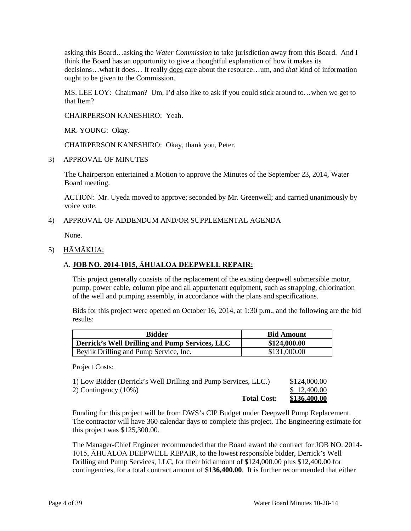asking this Board…asking the *Water Commission* to take jurisdiction away from this Board. And I think the Board has an opportunity to give a thoughtful explanation of how it makes its decisions…what it does… It really does care about the resource…um, and *that* kind of information ought to be given to the Commission.

MS. LEE LOY: Chairman? Um, I'd also like to ask if you could stick around to…when we get to that Item?

CHAIRPERSON KANESHIRO: Yeah.

MR. YOUNG: Okay.

CHAIRPERSON KANESHIRO: Okay, thank you, Peter.

3) APPROVAL OF MINUTES

The Chairperson entertained a Motion to approve the Minutes of the September 23, 2014, Water Board meeting.

ACTION: Mr. Uyeda moved to approve; seconded by Mr. Greenwell; and carried unanimously by voice vote.

### 4) APPROVAL OF ADDENDUM AND/OR SUPPLEMENTAL AGENDA

None.

#### 5) HĀMĀKUA:

#### A. **JOB NO. 2014-1015, ĀHUALOA DEEPWELL REPAIR:**

This project generally consists of the replacement of the existing deepwell submersible motor, pump, power cable, column pipe and all appurtenant equipment, such as strapping, chlorination of the well and pumping assembly, in accordance with the plans and specifications.

Bids for this project were opened on October 16, 2014, at 1:30 p.m., and the following are the bid results:

| <b>Bidder</b>                                         | <b>Bid Amount</b> |
|-------------------------------------------------------|-------------------|
| <b>Derrick's Well Drilling and Pump Services, LLC</b> | \$124,000.00      |
| Beylik Drilling and Pump Service, Inc.                | \$131,000.00      |

Project Costs:

| <b>Total Cost:</b>                                              | <u>\$136,400.00</u> |
|-----------------------------------------------------------------|---------------------|
| 2) Contingency $(10\%)$                                         | \$12,400.00         |
| 1) Low Bidder (Derrick's Well Drilling and Pump Services, LLC.) | \$124,000.00        |

Funding for this project will be from DWS's CIP Budget under Deepwell Pump Replacement. The contractor will have 360 calendar days to complete this project. The Engineering estimate for this project was \$125,300.00.

The Manager-Chief Engineer recommended that the Board award the contract for JOB NO. 2014- 1015, ĀHUALOA DEEPWELL REPAIR, to the lowest responsible bidder, Derrick's Well Drilling and Pump Services, LLC, for their bid amount of \$124,000.00 plus \$12,400.00 for contingencies, for a total contract amount of **\$136,400.00**. It is further recommended that either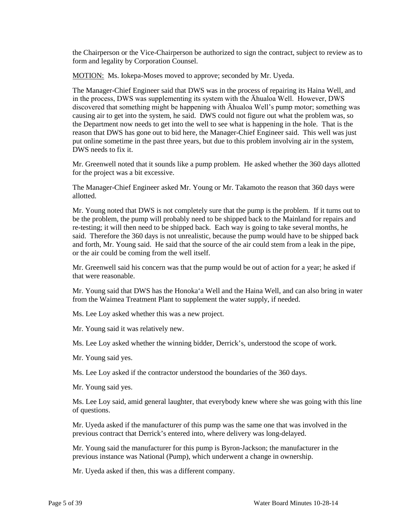the Chairperson or the Vice-Chairperson be authorized to sign the contract, subject to review as to form and legality by Corporation Counsel.

MOTION: Ms. Iokepa-Moses moved to approve; seconded by Mr. Uyeda.

The Manager-Chief Engineer said that DWS was in the process of repairing its Haina Well, and in the process, DWS was supplementing its system with the Āhualoa Well. However, DWS discovered that something might be happening with Āhualoa Well's pump motor; something was causing air to get into the system, he said. DWS could not figure out what the problem was, so the Department now needs to get into the well to see what is happening in the hole. That is the reason that DWS has gone out to bid here, the Manager-Chief Engineer said. This well was just put online sometime in the past three years, but due to this problem involving air in the system, DWS needs to fix it.

Mr. Greenwell noted that it sounds like a pump problem. He asked whether the 360 days allotted for the project was a bit excessive.

The Manager-Chief Engineer asked Mr. Young or Mr. Takamoto the reason that 360 days were allotted.

Mr. Young noted that DWS is not completely sure that the pump is the problem. If it turns out to be the problem, the pump will probably need to be shipped back to the Mainland for repairs and re-testing; it will then need to be shipped back. Each way is going to take several months, he said. Therefore the 360 days is not unrealistic, because the pump would have to be shipped back and forth, Mr. Young said. He said that the source of the air could stem from a leak in the pipe, or the air could be coming from the well itself.

Mr. Greenwell said his concern was that the pump would be out of action for a year; he asked if that were reasonable.

Mr. Young said that DWS has the Honoka'a Well and the Haina Well, and can also bring in water from the Waimea Treatment Plant to supplement the water supply, if needed.

Ms. Lee Loy asked whether this was a new project.

Mr. Young said it was relatively new.

Ms. Lee Loy asked whether the winning bidder, Derrick's, understood the scope of work.

Mr. Young said yes.

Ms. Lee Loy asked if the contractor understood the boundaries of the 360 days.

Mr. Young said yes.

Ms. Lee Loy said, amid general laughter, that everybody knew where she was going with this line of questions.

Mr. Uyeda asked if the manufacturer of this pump was the same one that was involved in the previous contract that Derrick's entered into, where delivery was long-delayed.

Mr. Young said the manufacturer for this pump is Byron-Jackson; the manufacturer in the previous instance was National (Pump), which underwent a change in ownership.

Mr. Uyeda asked if then, this was a different company.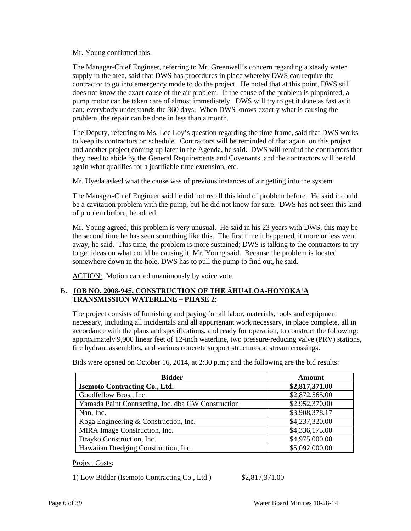Mr. Young confirmed this.

The Manager-Chief Engineer, referring to Mr. Greenwell's concern regarding a steady water supply in the area, said that DWS has procedures in place whereby DWS can require the contractor to go into emergency mode to do the project. He noted that at this point, DWS still does not know the exact cause of the air problem. If the cause of the problem is pinpointed, a pump motor can be taken care of almost immediately. DWS will try to get it done as fast as it can; everybody understands the 360 days. When DWS knows exactly what is causing the problem, the repair can be done in less than a month.

The Deputy, referring to Ms. Lee Loy's question regarding the time frame, said that DWS works to keep its contractors on schedule. Contractors will be reminded of that again, on this project and another project coming up later in the Agenda, he said. DWS will remind the contractors that they need to abide by the General Requirements and Covenants, and the contractors will be told again what qualifies for a justifiable time extension, etc.

Mr. Uyeda asked what the cause was of previous instances of air getting into the system.

The Manager-Chief Engineer said he did not recall this kind of problem before. He said it could be a cavitation problem with the pump, but he did not know for sure. DWS has not seen this kind of problem before, he added.

Mr. Young agreed; this problem is very unusual. He said in his 23 years with DWS, this may be the second time he has seen something like this. The first time it happened, it more or less went away, he said. This time, the problem is more sustained; DWS is talking to the contractors to try to get ideas on what could be causing it, Mr. Young said. Because the problem is located somewhere down in the hole, DWS has to pull the pump to find out, he said.

ACTION: Motion carried unanimously by voice vote.

# B. **JOB NO. 2008-945, CONSTRUCTION OF THE ĀHUALOA-HONOKA'A TRANSMISSION WATERLINE – PHASE 2:**

The project consists of furnishing and paying for all labor, materials, tools and equipment necessary, including all incidentals and all appurtenant work necessary, in place complete, all in accordance with the plans and specifications, and ready for operation, to construct the following: approximately 9,900 linear feet of 12-inch waterline, two pressure-reducing valve (PRV) stations, fire hydrant assemblies, and various concrete support structures at stream crossings.

| <b>Bidder</b>                                      | Amount         |
|----------------------------------------------------|----------------|
| <b>Isemoto Contracting Co., Ltd.</b>               | \$2,817,371.00 |
| Goodfellow Bros., Inc.                             | \$2,872,565.00 |
| Yamada Paint Contracting, Inc. dba GW Construction | \$2,952,370.00 |
| Nan, Inc.                                          | \$3,908,378.17 |
| Koga Engineering & Construction, Inc.              | \$4,237,320.00 |
| MIRA Image Construction, Inc.                      | \$4,336,175.00 |
| Drayko Construction, Inc.                          | \$4,975,000.00 |
| Hawaiian Dredging Construction, Inc.               | \$5,092,000.00 |

Bids were opened on October 16, 2014, at 2:30 p.m.; and the following are the bid results:

### Project Costs:

1) Low Bidder (Isemoto Contracting Co., Ltd.) \$2,817,371.00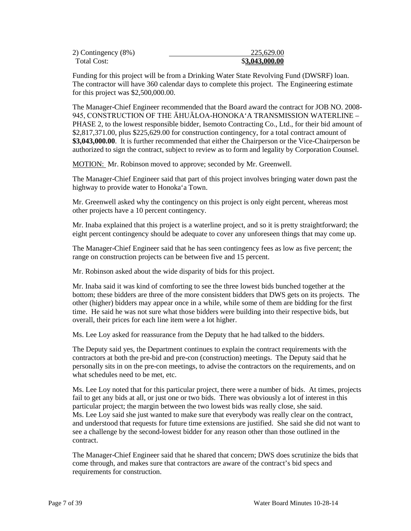| 2) Contingency (8%) | 225,629.00     |
|---------------------|----------------|
| Total Cost:         | \$3,043,000.00 |

Funding for this project will be from a Drinking Water State Revolving Fund (DWSRF) loan. The contractor will have 360 calendar days to complete this project. The Engineering estimate for this project was \$2,500,000.00.

The Manager-Chief Engineer recommended that the Board award the contract for JOB NO. 2008- 945, CONSTRUCTION OF THE ĀHUĀLOA-HONOKA'A TRANSMISSION WATERLINE – PHASE 2, to the lowest responsible bidder, Isemoto Contracting Co., Ltd., for their bid amount of \$2,817,371.00, plus \$225,629.00 for construction contingency, for a total contract amount of **\$3,043,000.00**. It is further recommended that either the Chairperson or the Vice-Chairperson be authorized to sign the contract, subject to review as to form and legality by Corporation Counsel.

MOTION: Mr. Robinson moved to approve; seconded by Mr. Greenwell.

The Manager-Chief Engineer said that part of this project involves bringing water down past the highway to provide water to Honoka'a Town.

Mr. Greenwell asked why the contingency on this project is only eight percent, whereas most other projects have a 10 percent contingency.

Mr. Inaba explained that this project is a waterline project, and so it is pretty straightforward; the eight percent contingency should be adequate to cover any unforeseen things that may come up.

The Manager-Chief Engineer said that he has seen contingency fees as low as five percent; the range on construction projects can be between five and 15 percent.

Mr. Robinson asked about the wide disparity of bids for this project.

Mr. Inaba said it was kind of comforting to see the three lowest bids bunched together at the bottom; these bidders are three of the more consistent bidders that DWS gets on its projects. The other (higher) bidders may appear once in a while, while some of them are bidding for the first time. He said he was not sure what those bidders were building into their respective bids, but overall, their prices for each line item were a lot higher.

Ms. Lee Loy asked for reassurance from the Deputy that he had talked to the bidders.

The Deputy said yes, the Department continues to explain the contract requirements with the contractors at both the pre-bid and pre-con (construction) meetings. The Deputy said that he personally sits in on the pre-con meetings, to advise the contractors on the requirements, and on what schedules need to be met, etc.

Ms. Lee Loy noted that for this particular project, there were a number of bids. At times, projects fail to get any bids at all, or just one or two bids. There was obviously a lot of interest in this particular project; the margin between the two lowest bids was really close, she said. Ms. Lee Loy said she just wanted to make sure that everybody was really clear on the contract, and understood that requests for future time extensions are justified. She said she did not want to see a challenge by the second-lowest bidder for any reason other than those outlined in the contract.

The Manager-Chief Engineer said that he shared that concern; DWS does scrutinize the bids that come through, and makes sure that contractors are aware of the contract's bid specs and requirements for construction.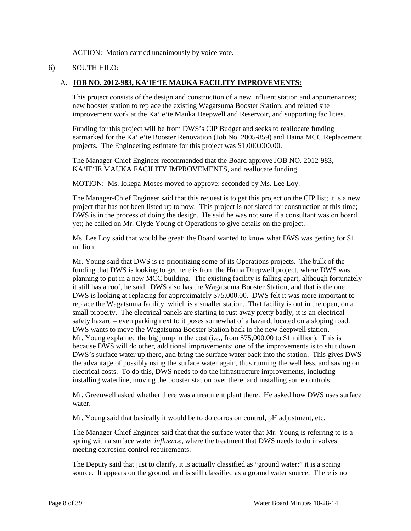ACTION: Motion carried unanimously by voice vote.

# 6) SOUTH HILO:

### A. **JOB NO. 2012-983, KA'IE'IE MAUKA FACILITY IMPROVEMENTS:**

This project consists of the design and construction of a new influent station and appurtenances; new booster station to replace the existing Wagatsuma Booster Station; and related site improvement work at the Ka'ie'ie Mauka Deepwell and Reservoir, and supporting facilities.

Funding for this project will be from DWS's CIP Budget and seeks to reallocate funding earmarked for the Ka'ie'ie Booster Renovation (Job No. 2005-859) and Haina MCC Replacement projects. The Engineering estimate for this project was \$1,000,000.00.

The Manager-Chief Engineer recommended that the Board approve JOB NO. 2012-983, KA'IE'IE MAUKA FACILITY IMPROVEMENTS, and reallocate funding.

MOTION: Ms. Iokepa-Moses moved to approve; seconded by Ms. Lee Loy.

The Manager-Chief Engineer said that this request is to get this project on the CIP list; it is a new project that has not been listed up to now. This project is not slated for construction at this time; DWS is in the process of doing the design. He said he was not sure if a consultant was on board yet; he called on Mr. Clyde Young of Operations to give details on the project.

Ms. Lee Loy said that would be great; the Board wanted to know what DWS was getting for \$1 million.

Mr. Young said that DWS is re-prioritizing some of its Operations projects. The bulk of the funding that DWS is looking to get here is from the Haina Deepwell project, where DWS was planning to put in a new MCC building. The existing facility is falling apart, although fortunately it still has a roof, he said. DWS also has the Wagatsuma Booster Station, and that is the one DWS is looking at replacing for approximately \$75,000.00. DWS felt it was more important to replace the Wagatsuma facility, which is a smaller station. That facility is out in the open, on a small property. The electrical panels are starting to rust away pretty badly; it is an electrical safety hazard – even parking next to it poses somewhat of a hazard, located on a sloping road. DWS wants to move the Wagatsuma Booster Station back to the new deepwell station. Mr. Young explained the big jump in the cost (i.e., from \$75,000.00 to \$1 million). This is because DWS will do other, additional improvements; one of the improvements is to shut down DWS's surface water up there, and bring the surface water back into the station. This gives DWS the advantage of possibly using the surface water again, thus running the well less, and saving on electrical costs. To do this, DWS needs to do the infrastructure improvements, including installing waterline, moving the booster station over there, and installing some controls.

Mr. Greenwell asked whether there was a treatment plant there. He asked how DWS uses surface water.

Mr. Young said that basically it would be to do corrosion control, pH adjustment, etc.

The Manager-Chief Engineer said that that the surface water that Mr. Young is referring to is a spring with a surface water *influence,* where the treatment that DWS needs to do involves meeting corrosion control requirements.

The Deputy said that just to clarify, it is actually classified as "ground water;" it is a spring source. It appears on the ground, and is still classified as a ground water source. There is no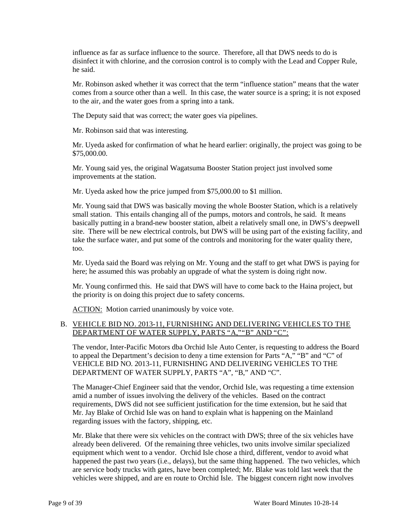influence as far as surface influence to the source. Therefore, all that DWS needs to do is disinfect it with chlorine, and the corrosion control is to comply with the Lead and Copper Rule, he said.

Mr. Robinson asked whether it was correct that the term "influence station" means that the water comes from a source other than a well. In this case, the water source is a spring; it is not exposed to the air, and the water goes from a spring into a tank.

The Deputy said that was correct; the water goes via pipelines.

Mr. Robinson said that was interesting.

Mr. Uyeda asked for confirmation of what he heard earlier: originally, the project was going to be \$75,000.00.

Mr. Young said yes, the original Wagatsuma Booster Station project just involved some improvements at the station.

Mr. Uyeda asked how the price jumped from \$75,000.00 to \$1 million.

Mr. Young said that DWS was basically moving the whole Booster Station, which is a relatively small station. This entails changing all of the pumps, motors and controls, he said. It means basically putting in a brand-new booster station, albeit a relatively small one, in DWS's deepwell site. There will be new electrical controls, but DWS will be using part of the existing facility, and take the surface water, and put some of the controls and monitoring for the water quality there, too.

Mr. Uyeda said the Board was relying on Mr. Young and the staff to get what DWS is paying for here; he assumed this was probably an upgrade of what the system is doing right now.

Mr. Young confirmed this. He said that DWS will have to come back to the Haina project, but the priority is on doing this project due to safety concerns.

ACTION: Motion carried unanimously by voice vote.

### B. VEHICLE BID NO. 2013-11, FURNISHING AND DELIVERING VEHICLES TO THE DEPARTMENT OF WATER SUPPLY, PARTS "A,""B" AND "C":

The vendor, Inter-Pacific Motors dba Orchid Isle Auto Center, is requesting to address the Board to appeal the Department's decision to deny a time extension for Parts "A," "B" and "C" of VEHICLE BID NO. 2013-11, FURNISHING AND DELIVERING VEHICLES TO THE DEPARTMENT OF WATER SUPPLY, PARTS "A", "B," AND "C".

The Manager-Chief Engineer said that the vendor, Orchid Isle, was requesting a time extension amid a number of issues involving the delivery of the vehicles. Based on the contract requirements, DWS did not see sufficient justification for the time extension, but he said that Mr. Jay Blake of Orchid Isle was on hand to explain what is happening on the Mainland regarding issues with the factory, shipping, etc.

Mr. Blake that there were six vehicles on the contract with DWS; three of the six vehicles have already been delivered. Of the remaining three vehicles, two units involve similar specialized equipment which went to a vendor. Orchid Isle chose a third, different, vendor to avoid what happened the past two years (i.e., delays), but the same thing happened. The two vehicles, which are service body trucks with gates, have been completed; Mr. Blake was told last week that the vehicles were shipped, and are en route to Orchid Isle. The biggest concern right now involves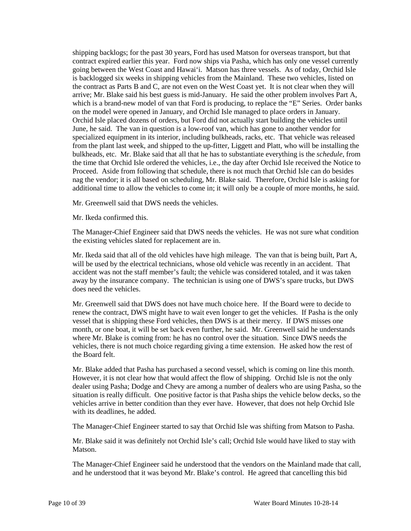shipping backlogs; for the past 30 years, Ford has used Matson for overseas transport, but that contract expired earlier this year. Ford now ships via Pasha, which has only one vessel currently going between the West Coast and Hawai'i. Matson has three vessels. As of today, Orchid Isle is backlogged six weeks in shipping vehicles from the Mainland. These two vehicles, listed on the contract as Parts B and C, are not even on the West Coast yet. It is not clear when they will arrive; Mr. Blake said his best guess is mid-January. He said the other problem involves Part A, which is a brand-new model of van that Ford is producing, to replace the "E" Series. Order banks on the model were opened in January, and Orchid Isle managed to place orders in January. Orchid Isle placed dozens of orders, but Ford did not actually start building the vehicles until June, he said. The van in question is a low-roof van, which has gone to another vendor for specialized equipment in its interior, including bulkheads, racks, etc. That vehicle was released from the plant last week, and shipped to the up-fitter, Liggett and Platt, who will be installing the bulkheads, etc. Mr. Blake said that all that he has to substantiate everything is the *schedule*, from the time that Orchid Isle ordered the vehicles, i.e., the day after Orchid Isle received the Notice to Proceed. Aside from following that schedule, there is not much that Orchid Isle can do besides nag the vendor; it is all based on scheduling, Mr. Blake said. Therefore, Orchid Isle is asking for additional time to allow the vehicles to come in; it will only be a couple of more months, he said.

Mr. Greenwell said that DWS needs the vehicles.

Mr. Ikeda confirmed this.

The Manager-Chief Engineer said that DWS needs the vehicles. He was not sure what condition the existing vehicles slated for replacement are in.

Mr. Ikeda said that all of the old vehicles have high mileage. The van that is being built, Part A, will be used by the electrical technicians, whose old vehicle was recently in an accident. That accident was not the staff member's fault; the vehicle was considered totaled, and it was taken away by the insurance company. The technician is using one of DWS's spare trucks, but DWS does need the vehicles.

Mr. Greenwell said that DWS does not have much choice here. If the Board were to decide to renew the contract, DWS might have to wait even longer to get the vehicles. If Pasha is the only vessel that is shipping these Ford vehicles, then DWS is at their mercy. If DWS misses one month, or one boat, it will be set back even further, he said. Mr. Greenwell said he understands where Mr. Blake is coming from: he has no control over the situation. Since DWS needs the vehicles, there is not much choice regarding giving a time extension. He asked how the rest of the Board felt.

Mr. Blake added that Pasha has purchased a second vessel, which is coming on line this month. However, it is not clear how that would affect the flow of shipping. Orchid Isle is not the only dealer using Pasha; Dodge and Chevy are among a number of dealers who are using Pasha, so the situation is really difficult. One positive factor is that Pasha ships the vehicle below decks, so the vehicles arrive in better condition than they ever have. However, that does not help Orchid Isle with its deadlines, he added.

The Manager-Chief Engineer started to say that Orchid Isle was shifting from Matson to Pasha.

Mr. Blake said it was definitely not Orchid Isle's call; Orchid Isle would have liked to stay with Matson.

The Manager-Chief Engineer said he understood that the vendors on the Mainland made that call, and he understood that it was beyond Mr. Blake's control. He agreed that cancelling this bid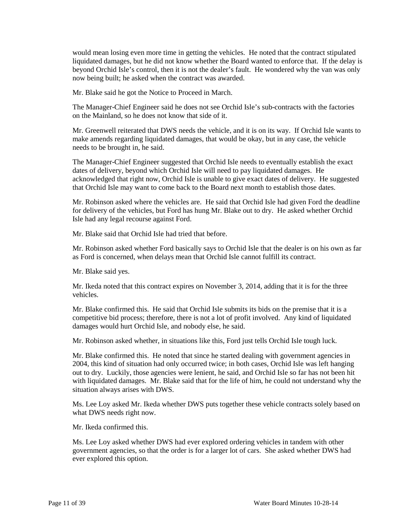would mean losing even more time in getting the vehicles. He noted that the contract stipulated liquidated damages, but he did not know whether the Board wanted to enforce that. If the delay is beyond Orchid Isle's control, then it is not the dealer's fault. He wondered why the van was only now being built; he asked when the contract was awarded.

Mr. Blake said he got the Notice to Proceed in March.

The Manager-Chief Engineer said he does not see Orchid Isle's sub-contracts with the factories on the Mainland, so he does not know that side of it.

Mr. Greenwell reiterated that DWS needs the vehicle, and it is on its way. If Orchid Isle wants to make amends regarding liquidated damages, that would be okay, but in any case, the vehicle needs to be brought in, he said.

The Manager-Chief Engineer suggested that Orchid Isle needs to eventually establish the exact dates of delivery, beyond which Orchid Isle will need to pay liquidated damages. He acknowledged that right now, Orchid Isle is unable to give exact dates of delivery. He suggested that Orchid Isle may want to come back to the Board next month to establish those dates.

Mr. Robinson asked where the vehicles are. He said that Orchid Isle had given Ford the deadline for delivery of the vehicles, but Ford has hung Mr. Blake out to dry. He asked whether Orchid Isle had any legal recourse against Ford.

Mr. Blake said that Orchid Isle had tried that before.

Mr. Robinson asked whether Ford basically says to Orchid Isle that the dealer is on his own as far as Ford is concerned, when delays mean that Orchid Isle cannot fulfill its contract.

Mr. Blake said yes.

Mr. Ikeda noted that this contract expires on November 3, 2014, adding that it is for the three vehicles.

Mr. Blake confirmed this. He said that Orchid Isle submits its bids on the premise that it is a competitive bid process; therefore, there is not a lot of profit involved. Any kind of liquidated damages would hurt Orchid Isle, and nobody else, he said.

Mr. Robinson asked whether, in situations like this, Ford just tells Orchid Isle tough luck.

Mr. Blake confirmed this. He noted that since he started dealing with government agencies in 2004, this kind of situation had only occurred twice; in both cases, Orchid Isle was left hanging out to dry. Luckily, those agencies were lenient, he said, and Orchid Isle so far has not been hit with liquidated damages. Mr. Blake said that for the life of him, he could not understand why the situation always arises with DWS.

Ms. Lee Loy asked Mr. Ikeda whether DWS puts together these vehicle contracts solely based on what DWS needs right now.

Mr. Ikeda confirmed this.

Ms. Lee Loy asked whether DWS had ever explored ordering vehicles in tandem with other government agencies, so that the order is for a larger lot of cars. She asked whether DWS had ever explored this option.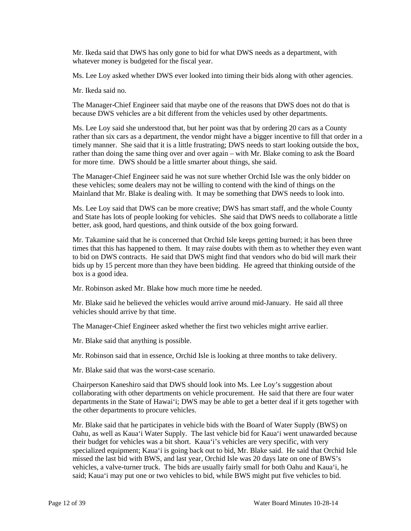Mr. Ikeda said that DWS has only gone to bid for what DWS needs as a department, with whatever money is budgeted for the fiscal year.

Ms. Lee Loy asked whether DWS ever looked into timing their bids along with other agencies.

Mr. Ikeda said no.

The Manager-Chief Engineer said that maybe one of the reasons that DWS does not do that is because DWS vehicles are a bit different from the vehicles used by other departments.

Ms. Lee Loy said she understood that, but her point was that by ordering 20 cars as a County rather than six cars as a department, the vendor might have a bigger incentive to fill that order in a timely manner. She said that it is a little frustrating; DWS needs to start looking outside the box, rather than doing the same thing over and over again – with Mr. Blake coming to ask the Board for more time. DWS should be a little smarter about things, she said.

The Manager-Chief Engineer said he was not sure whether Orchid Isle was the only bidder on these vehicles; some dealers may not be willing to contend with the kind of things on the Mainland that Mr. Blake is dealing with. It may be something that DWS needs to look into.

Ms. Lee Loy said that DWS can be more creative; DWS has smart staff, and the whole County and State has lots of people looking for vehicles. She said that DWS needs to collaborate a little better, ask good, hard questions, and think outside of the box going forward.

Mr. Takamine said that he is concerned that Orchid Isle keeps getting burned; it has been three times that this has happened to them. It may raise doubts with them as to whether they even want to bid on DWS contracts. He said that DWS might find that vendors who do bid will mark their bids up by 15 percent more than they have been bidding. He agreed that thinking outside of the box is a good idea.

Mr. Robinson asked Mr. Blake how much more time he needed.

Mr. Blake said he believed the vehicles would arrive around mid-January. He said all three vehicles should arrive by that time.

The Manager-Chief Engineer asked whether the first two vehicles might arrive earlier.

Mr. Blake said that anything is possible.

Mr. Robinson said that in essence, Orchid Isle is looking at three months to take delivery.

Mr. Blake said that was the worst-case scenario.

Chairperson Kaneshiro said that DWS should look into Ms. Lee Loy's suggestion about collaborating with other departments on vehicle procurement. He said that there are four water departments in the State of Hawai'i; DWS may be able to get a better deal if it gets together with the other departments to procure vehicles.

Mr. Blake said that he participates in vehicle bids with the Board of Water Supply (BWS) on Oahu, as well as Kaua'i Water Supply. The last vehicle bid for Kaua'i went unawarded because their budget for vehicles was a bit short. Kaua'i's vehicles are very specific, with very specialized equipment; Kaua'i is going back out to bid, Mr. Blake said. He said that Orchid Isle missed the last bid with BWS, and last year, Orchid Isle was 20 days late on one of BWS's vehicles, a valve-turner truck. The bids are usually fairly small for both Oahu and Kaua'i, he said; Kaua'i may put one or two vehicles to bid, while BWS might put five vehicles to bid.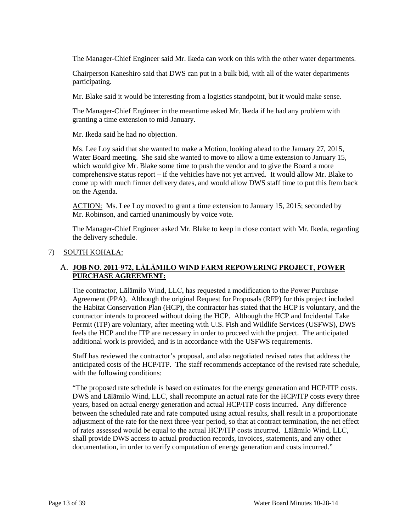The Manager-Chief Engineer said Mr. Ikeda can work on this with the other water departments.

Chairperson Kaneshiro said that DWS can put in a bulk bid, with all of the water departments participating.

Mr. Blake said it would be interesting from a logistics standpoint, but it would make sense.

The Manager-Chief Engineer in the meantime asked Mr. Ikeda if he had any problem with granting a time extension to mid-January.

Mr. Ikeda said he had no objection.

Ms. Lee Loy said that she wanted to make a Motion, looking ahead to the January 27, 2015, Water Board meeting. She said she wanted to move to allow a time extension to January 15, which would give Mr. Blake some time to push the vendor and to give the Board a more comprehensive status report – if the vehicles have not yet arrived. It would allow Mr. Blake to come up with much firmer delivery dates, and would allow DWS staff time to put this Item back on the Agenda.

ACTION: Ms. Lee Loy moved to grant a time extension to January 15, 2015; seconded by Mr. Robinson, and carried unanimously by voice vote.

The Manager-Chief Engineer asked Mr. Blake to keep in close contact with Mr. Ikeda, regarding the delivery schedule.

#### 7) SOUTH KOHALA:

# A. **JOB NO. 2011-972, LĀLĀMILO WIND FARM REPOWERING PROJECT, POWER PURCHASE AGREEMENT:**

The contractor, Lālāmilo Wind, LLC, has requested a modification to the Power Purchase Agreement (PPA). Although the original Request for Proposals (RFP) for this project included the Habitat Conservation Plan (HCP), the contractor has stated that the HCP is voluntary, and the contractor intends to proceed without doing the HCP. Although the HCP and Incidental Take Permit (ITP) are voluntary, after meeting with U.S. Fish and Wildlife Services (USFWS), DWS feels the HCP and the ITP are necessary in order to proceed with the project. The anticipated additional work is provided, and is in accordance with the USFWS requirements.

Staff has reviewed the contractor's proposal, and also negotiated revised rates that address the anticipated costs of the HCP/ITP. The staff recommends acceptance of the revised rate schedule, with the following conditions:

"The proposed rate schedule is based on estimates for the energy generation and HCP/ITP costs. DWS and Lālāmilo Wind, LLC, shall recompute an actual rate for the HCP/ITP costs every three years, based on actual energy generation and actual HCP/ITP costs incurred. Any difference between the scheduled rate and rate computed using actual results, shall result in a proportionate adjustment of the rate for the next three-year period, so that at contract termination, the net effect of rates assessed would be equal to the actual HCP/ITP costs incurred. Lālāmilo Wind, LLC, shall provide DWS access to actual production records, invoices, statements, and any other documentation, in order to verify computation of energy generation and costs incurred."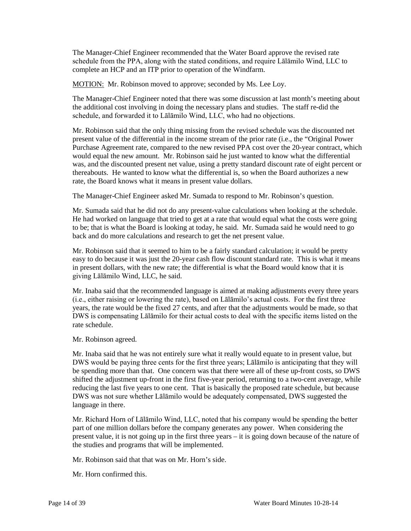The Manager-Chief Engineer recommended that the Water Board approve the revised rate schedule from the PPA, along with the stated conditions, and require Lālāmilo Wind, LLC to complete an HCP and an ITP prior to operation of the Windfarm.

MOTION: Mr. Robinson moved to approve; seconded by Ms. Lee Loy.

The Manager-Chief Engineer noted that there was some discussion at last month's meeting about the additional cost involving in doing the necessary plans and studies. The staff re-did the schedule, and forwarded it to Lālāmilo Wind, LLC, who had no objections.

Mr. Robinson said that the only thing missing from the revised schedule was the discounted net present value of the differential in the income stream of the prior rate (i.e., the "Original Power Purchase Agreement rate, compared to the new revised PPA cost over the 20-year contract, which would equal the new amount. Mr. Robinson said he just wanted to know what the differential was, and the discounted present net value, using a pretty standard discount rate of eight percent or thereabouts. He wanted to know what the differential is, so when the Board authorizes a new rate, the Board knows what it means in present value dollars.

The Manager-Chief Engineer asked Mr. Sumada to respond to Mr. Robinson's question.

Mr. Sumada said that he did not do any present-value calculations when looking at the schedule. He had worked on language that tried to get at a rate that would equal what the costs were going to be; that is what the Board is looking at today, he said. Mr. Sumada said he would need to go back and do more calculations and research to get the net present value.

Mr. Robinson said that it seemed to him to be a fairly standard calculation; it would be pretty easy to do because it was just the 20-year cash flow discount standard rate. This is what it means in present dollars, with the new rate; the differential is what the Board would know that it is giving Lālāmilo Wind, LLC, he said.

Mr. Inaba said that the recommended language is aimed at making adjustments every three years (i.e., either raising or lowering the rate), based on Lālāmilo's actual costs. For the first three years, the rate would be the fixed 27 cents, and after that the adjustments would be made, so that DWS is compensating Lālāmilo for their actual costs to deal with the specific items listed on the rate schedule.

Mr. Robinson agreed.

Mr. Inaba said that he was not entirely sure what it really would equate to in present value, but DWS would be paying three cents for the first three years; Lālāmilo is anticipating that they will be spending more than that. One concern was that there were all of these up-front costs, so DWS shifted the adjustment up-front in the first five-year period, returning to a two-cent average, while reducing the last five years to one cent. That is basically the proposed rate schedule, but because DWS was not sure whether Lālāmilo would be adequately compensated, DWS suggested the language in there.

Mr. Richard Horn of Lālāmilo Wind, LLC, noted that his company would be spending the better part of one million dollars before the company generates any power. When considering the present value, it is not going up in the first three years – it is going down because of the nature of the studies and programs that will be implemented.

Mr. Robinson said that that was on Mr. Horn's side.

Mr. Horn confirmed this.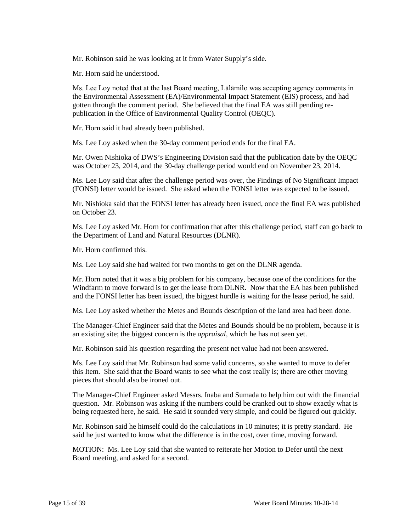Mr. Robinson said he was looking at it from Water Supply's side.

Mr. Horn said he understood.

Ms. Lee Loy noted that at the last Board meeting, Lālāmilo was accepting agency comments in the Environmental Assessment (EA)/Environmental Impact Statement (EIS) process, and had gotten through the comment period. She believed that the final EA was still pending republication in the Office of Environmental Quality Control (OEQC).

Mr. Horn said it had already been published.

Ms. Lee Loy asked when the 30-day comment period ends for the final EA.

Mr. Owen Nishioka of DWS's Engineering Division said that the publication date by the OEQC was October 23, 2014, and the 30-day challenge period would end on November 23, 2014.

Ms. Lee Loy said that after the challenge period was over, the Findings of No Significant Impact (FONSI) letter would be issued. She asked when the FONSI letter was expected to be issued.

Mr. Nishioka said that the FONSI letter has already been issued, once the final EA was published on October 23.

Ms. Lee Loy asked Mr. Horn for confirmation that after this challenge period, staff can go back to the Department of Land and Natural Resources (DLNR).

Mr. Horn confirmed this.

Ms. Lee Loy said she had waited for two months to get on the DLNR agenda.

Mr. Horn noted that it was a big problem for his company, because one of the conditions for the Windfarm to move forward is to get the lease from DLNR. Now that the EA has been published and the FONSI letter has been issued, the biggest hurdle is waiting for the lease period, he said.

Ms. Lee Loy asked whether the Metes and Bounds description of the land area had been done.

The Manager-Chief Engineer said that the Metes and Bounds should be no problem, because it is an existing site; the biggest concern is the *appraisal*, which he has not seen yet.

Mr. Robinson said his question regarding the present net value had not been answered.

Ms. Lee Loy said that Mr. Robinson had some valid concerns, so she wanted to move to defer this Item. She said that the Board wants to see what the cost really is; there are other moving pieces that should also be ironed out.

The Manager-Chief Engineer asked Messrs. Inaba and Sumada to help him out with the financial question. Mr. Robinson was asking if the numbers could be cranked out to show exactly what is being requested here, he said. He said it sounded very simple, and could be figured out quickly.

Mr. Robinson said he himself could do the calculations in 10 minutes; it is pretty standard. He said he just wanted to know what the difference is in the cost, over time, moving forward.

MOTION: Ms. Lee Loy said that she wanted to reiterate her Motion to Defer until the next Board meeting, and asked for a second.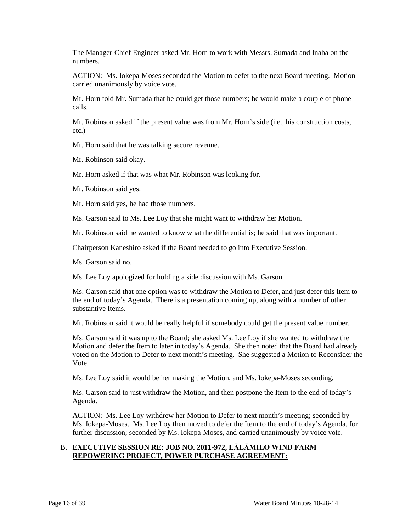The Manager-Chief Engineer asked Mr. Horn to work with Messrs. Sumada and Inaba on the numbers.

ACTION: Ms. Iokepa-Moses seconded the Motion to defer to the next Board meeting. Motion carried unanimously by voice vote.

Mr. Horn told Mr. Sumada that he could get those numbers; he would make a couple of phone calls.

Mr. Robinson asked if the present value was from Mr. Horn's side (i.e., his construction costs, etc.)

Mr. Horn said that he was talking secure revenue.

Mr. Robinson said okay.

Mr. Horn asked if that was what Mr. Robinson was looking for.

Mr. Robinson said yes.

Mr. Horn said yes, he had those numbers.

Ms. Garson said to Ms. Lee Loy that she might want to withdraw her Motion.

Mr. Robinson said he wanted to know what the differential is; he said that was important.

Chairperson Kaneshiro asked if the Board needed to go into Executive Session.

Ms. Garson said no.

Ms. Lee Loy apologized for holding a side discussion with Ms. Garson.

Ms. Garson said that one option was to withdraw the Motion to Defer, and just defer this Item to the end of today's Agenda. There is a presentation coming up, along with a number of other substantive Items.

Mr. Robinson said it would be really helpful if somebody could get the present value number.

Ms. Garson said it was up to the Board; she asked Ms. Lee Loy if she wanted to withdraw the Motion and defer the Item to later in today's Agenda. She then noted that the Board had already voted on the Motion to Defer to next month's meeting. She suggested a Motion to Reconsider the Vote.

Ms. Lee Loy said it would be her making the Motion, and Ms. Iokepa-Moses seconding.

Ms. Garson said to just withdraw the Motion, and then postpone the Item to the end of today's Agenda.

ACTION: Ms. Lee Loy withdrew her Motion to Defer to next month's meeting; seconded by Ms. Iokepa-Moses. Ms. Lee Loy then moved to defer the Item to the end of today's Agenda, for further discussion; seconded by Ms. Iokepa-Moses, and carried unanimously by voice vote.

# B. **EXECUTIVE SESSION RE: JOB NO. 2011-972, LĀLĀMILO WIND FARM REPOWERING PROJECT, POWER PURCHASE AGREEMENT:**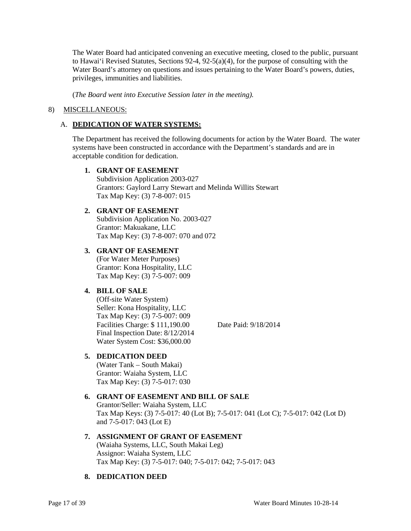The Water Board had anticipated convening an executive meeting, closed to the public, pursuant to Hawai'i Revised Statutes, Sections 92-4, 92-5(a)(4), for the purpose of consulting with the Water Board's attorney on questions and issues pertaining to the Water Board's powers, duties, privileges, immunities and liabilities.

(*The Board went into Executive Session later in the meeting).*

### 8) MISCELLANEOUS:

# A. **DEDICATION OF WATER SYSTEMS:**

The Department has received the following documents for action by the Water Board. The water systems have been constructed in accordance with the Department's standards and are in acceptable condition for dedication.

#### **1. GRANT OF EASEMENT**

Subdivision Application 2003-027 Grantors: Gaylord Larry Stewart and Melinda Willits Stewart Tax Map Key: (3) 7-8-007: 015

# **2. GRANT OF EASEMENT**

Subdivision Application No. 2003-027 Grantor: Makuakane, LLC Tax Map Key: (3) 7-8-007: 070 and 072

# **3. GRANT OF EASEMENT**

(For Water Meter Purposes) Grantor: Kona Hospitality, LLC Tax Map Key: (3) 7-5-007: 009

# **4. BILL OF SALE**

(Off-site Water System) Seller: Kona Hospitality, LLC Tax Map Key: (3) 7-5-007: 009 Facilities Charge: \$ 111,190.00 Date Paid: 9/18/2014 Final Inspection Date: 8/12/2014 Water System Cost: \$36,000.00

# **5. DEDICATION DEED**

(Water Tank – South Makai) Grantor: Waiaha System, LLC Tax Map Key: (3) 7-5-017: 030

# **6. GRANT OF EASEMENT AND BILL OF SALE**

Grantor/Seller: Waiaha System, LLC Tax Map Keys: (3) 7-5-017: 40 (Lot B); 7-5-017: 041 (Lot C); 7-5-017: 042 (Lot D) and 7-5-017: 043 (Lot E)

# **7. ASSIGNMENT OF GRANT OF EASEMENT**

(Waiaha Systems, LLC, South Makai Leg) Assignor: Waiaha System, LLC Tax Map Key: (3) 7-5-017: 040; 7-5-017: 042; 7-5-017: 043

### **8. DEDICATION DEED**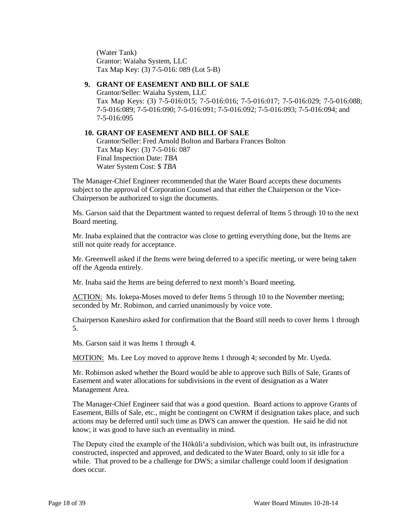(Water Tank) Grantor: Waiaha System, LLC Tax Map Key: (3) 7-5-016: 089 (Lot 5-B)

### **9. GRANT OF EASEMENT AND BILL OF SALE**

Grantor/Seller: Waiaha System, LLC Tax Map Keys: (3) 7-5-016:015; 7-5-016:016; 7-5-016:017; 7-5-016:029; 7-5-016:088; 7-5-016:089; 7-5-016:090; 7-5-016:091; 7-5-016:092; 7-5-016:093; 7-5-016:094; and 7-5-016:095

# **10. GRANT OF EASEMENT AND BILL OF SALE**

Grantor/Seller: Fred Arnold Bolton and Barbara Frances Bolton Tax Map Key: (3) 7-5-016: 087 Final Inspection Date: *TBA* Water System Cost: \$ *TBA*

The Manager-Chief Engineer recommended that the Water Board accepts these documents subject to the approval of Corporation Counsel and that either the Chairperson or the Vice-Chairperson be authorized to sign the documents.

Ms. Garson said that the Department wanted to request deferral of Items 5 through 10 to the next Board meeting.

Mr. Inaba explained that the contractor was close to getting everything done, but the Items are still not quite ready for acceptance.

Mr. Greenwell asked if the Items were being deferred to a specific meeting, or were being taken off the Agenda entirely.

Mr. Inaba said the Items are being deferred to next month's Board meeting.

ACTION: Ms. Iokepa-Moses moved to defer Items 5 through 10 to the November meeting; seconded by Mr. Robinson, and carried unanimously by voice vote.

Chairperson Kaneshiro asked for confirmation that the Board still needs to cover Items 1 through 5.

Ms. Garson said it was Items 1 through 4.

MOTION: Ms. Lee Loy moved to approve Items 1 through 4; seconded by Mr. Uyeda.

Mr. Robinson asked whether the Board would be able to approve such Bills of Sale, Grants of Easement and water allocations for subdivisions in the event of designation as a Water Management Area.

The Manager-Chief Engineer said that was a good question. Board actions to approve Grants of Easement, Bills of Sale, etc., might be contingent on CWRM if designation takes place, and such actions may be deferred until such time as DWS can answer the question. He said he did not know; it was good to have such an eventuality in mind.

The Deputy cited the example of the Hōkūli'a subdivision, which was built out, its infrastructure constructed, inspected and approved, and dedicated to the Water Board, only to sit idle for a while. That proved to be a challenge for DWS; a similar challenge could loom if designation does occur.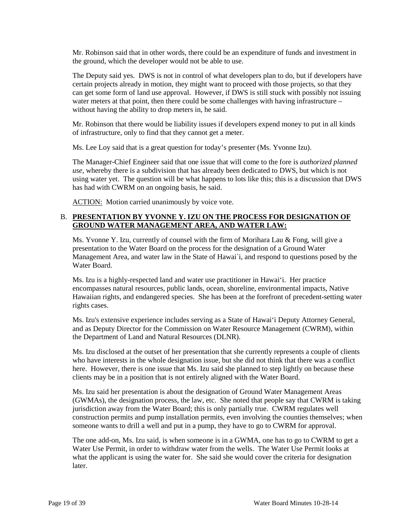Mr. Robinson said that in other words, there could be an expenditure of funds and investment in the ground, which the developer would not be able to use.

The Deputy said yes. DWS is not in control of what developers plan to do, but if developers have certain projects already in motion, they might want to proceed with those projects, so that they can get some form of land use approval. However, if DWS is still stuck with possibly not issuing water meters at that point, then there could be some challenges with having infrastructure – without having the ability to drop meters in, he said.

Mr. Robinson that there would be liability issues if developers expend money to put in all kinds of infrastructure, only to find that they cannot get a meter.

Ms. Lee Loy said that is a great question for today's presenter (Ms. Yvonne Izu).

The Manager-Chief Engineer said that one issue that will come to the fore is *authorized planned use*, whereby there is a subdivision that has already been dedicated to DWS, but which is not using water yet. The question will be what happens to lots like this; this is a discussion that DWS has had with CWRM on an ongoing basis, he said.

ACTION: Motion carried unanimously by voice vote.

### B. **PRESENTATION BY YVONNE Y. IZU ON THE PROCESS FOR DESIGNATION OF GROUND WATER MANAGEMENT AREA, AND WATER LAW:**

Ms. Yvonne Y. Izu, currently of counsel with the firm of Morihara Lau & Fong, will give a presentation to the Water Board on the process for the designation of a Ground Water Management Area, and water law in the State of Hawai`i, and respond to questions posed by the Water Board.

Ms. Izu is a highly-respected land and water use practitioner in Hawai'i. Her practice encompasses natural resources, public lands, ocean, shoreline, environmental impacts, Native Hawaiian rights, and endangered species. She has been at the forefront of precedent-setting water rights cases.

Ms. Izu's extensive experience includes serving as a State of Hawai'i Deputy Attorney General, and as Deputy Director for the Commission on Water Resource Management (CWRM), within the Department of Land and Natural Resources (DLNR).

Ms. Izu disclosed at the outset of her presentation that she currently represents a couple of clients who have interests in the whole designation issue, but she did not think that there was a conflict here. However, there is one issue that Ms. Izu said she planned to step lightly on because these clients may be in a position that is not entirely aligned with the Water Board.

Ms. Izu said her presentation is about the designation of Ground Water Management Areas (GWMAs), the designation process, the law, etc. She noted that people say that CWRM is taking jurisdiction away from the Water Board; this is only partially true. CWRM regulates well construction permits and pump installation permits, even involving the counties themselves; when someone wants to drill a well and put in a pump, they have to go to CWRM for approval.

The one add-on, Ms. Izu said, is when someone is in a GWMA, one has to go to CWRM to get a Water Use Permit, in order to withdraw water from the wells. The Water Use Permit looks at what the applicant is using the water for. She said she would cover the criteria for designation later.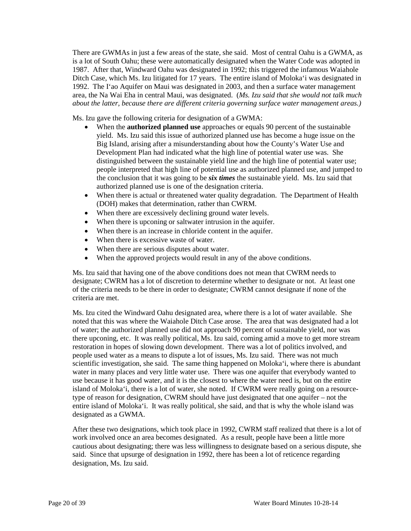There are GWMAs in just a few areas of the state, she said. Most of central Oahu is a GWMA, as is a lot of South Oahu; these were automatically designated when the Water Code was adopted in 1987. After that, Windward Oahu was designated in 1992; this triggered the infamous Waiahole Ditch Case, which Ms. Izu litigated for 17 years. The entire island of Moloka'i was designated in 1992. The I'ao Aquifer on Maui was designated in 2003, and then a surface water management area, the Na Wai Eha in central Maui, was designated. (*Ms. Izu said that she would not talk much about the latter, because there are different criteria governing surface water management areas.)*

Ms. Izu gave the following criteria for designation of a GWMA:

- When the **authorized planned use** approaches or equals 90 percent of the sustainable yield. Ms. Izu said this issue of authorized planned use has become a huge issue on the Big Island, arising after a misunderstanding about how the County's Water Use and Development Plan had indicated what the high line of potential water use was. She distinguished between the sustainable yield line and the high line of potential water use; people interpreted that high line of potential use as authorized planned use, and jumped to the conclusion that it was going to be *six times* the sustainable yield. Ms. Izu said that authorized planned use is one of the designation criteria.
- When there is actual or threatened water quality degradation. The Department of Health (DOH) makes that determination, rather than CWRM.
- When there are excessively declining ground water levels.
- When there is upconing or saltwater intrusion in the aquifer.
- When there is an increase in chloride content in the aquifer.
- When there is excessive waste of water.
- When there are serious disputes about water.
- When the approved projects would result in any of the above conditions.

Ms. Izu said that having one of the above conditions does not mean that CWRM needs to designate; CWRM has a lot of discretion to determine whether to designate or not. At least one of the criteria needs to be there in order to designate; CWRM cannot designate if none of the criteria are met.

Ms. Izu cited the Windward Oahu designated area, where there is a lot of water available. She noted that this was where the Waiahole Ditch Case arose. The area that was designated had a lot of water; the authorized planned use did not approach 90 percent of sustainable yield, nor was there upconing, etc. It was really political, Ms. Izu said, coming amid a move to get more stream restoration in hopes of slowing down development. There was a lot of politics involved, and people used water as a means to dispute a lot of issues, Ms. Izu said. There was not much scientific investigation, she said. The same thing happened on Moloka'i, where there is abundant water in many places and very little water use. There was one aquifer that everybody wanted to use because it has good water, and it is the closest to where the water need is, but on the entire island of Moloka'i, there is a lot of water, she noted. If CWRM were really going on a resourcetype of reason for designation, CWRM should have just designated that one aquifer – not the entire island of Moloka'i. It was really political, she said, and that is why the whole island was designated as a GWMA.

After these two designations, which took place in 1992, CWRM staff realized that there is a lot of work involved once an area becomes designated. As a result, people have been a little more cautious about designating; there was less willingness to designate based on a serious dispute, she said. Since that upsurge of designation in 1992, there has been a lot of reticence regarding designation, Ms. Izu said.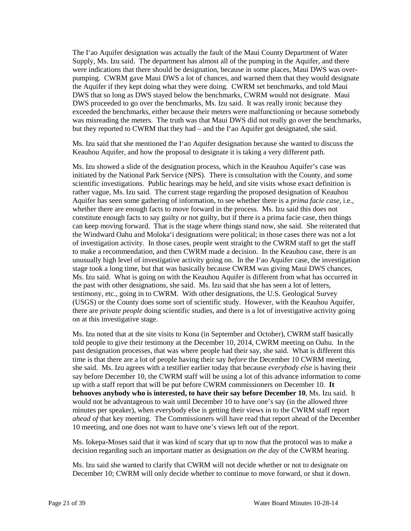The I'ao Aquifer designation was actually the fault of the Maui County Department of Water Supply, Ms. Izu said. The department has almost all of the pumping in the Aquifer, and there were indications that there should be designation, because in some places, Maui DWS was overpumping. CWRM gave Maui DWS a lot of chances, and warned them that they would designate the Aquifer if they kept doing what they were doing. CWRM set benchmarks, and told Maui DWS that so long as DWS stayed below the benchmarks, CWRM would not designate. Maui DWS proceeded to go over the benchmarks, Ms. Izu said. It was really ironic because they exceeded the benchmarks, either because their meters were malfunctioning or because somebody was misreading the meters. The truth was that Maui DWS did not really go over the benchmarks, but they reported to CWRM that they had – and the I'ao Aquifer got designated, she said.

Ms. Izu said that she mentioned the I'ao Aquifer designation because she wanted to discuss the Keauhou Aquifer, and how the proposal to designate it is taking a very different path.

Ms. Izu showed a slide of the designation process, which in the Keauhou Aquifer's case was initiated by the National Park Service (NPS). There is consultation with the County, and some scientific investigations. Public hearings may be held, and site visits whose exact definition is rather vague, Ms. Izu said. The current stage regarding the proposed designation of Keauhou Aquifer has seen some gathering of information, to see whether there is a *prima facie case*, i.e., whether there are enough facts to move forward in the process. Ms. Izu said this does not constitute enough facts to say guilty or not guilty, but if there is a prima facie case, then things can keep moving forward. That is the stage where things stand now, she said. She reiterated that the Windward Oahu and Moloka'i designations were political; in those cases there was not a lot of investigation activity. In those cases, people went straight to the CWRM staff to get the staff to make a recommendation, and then CWRM made a decision. In the Keauhou case, there is an unusually high level of investigative activity going on. In the I'ao Aquifer case, the investigation stage took a long time, but that was basically because CWRM was giving Maui DWS chances, Ms. Izu said. What is going on with the Keauhou Aquifer is different from what has occurred in the past with other designations, she said. Ms. Izu said that she has seen a lot of letters, testimony, etc., going in to CWRM. With other designations, the U.S. Geological Survey (USGS) or the County does some sort of scientific study. However, with the Keauhou Aquifer, there are *private people* doing scientific studies, and there is a lot of investigative activity going on at this investigative stage.

Ms. Izu noted that at the site visits to Kona (in September and October), CWRM staff basically told people to give their testimony at the December 10, 2014, CWRM meeting on Oahu. In the past designation processes, that was where people had their say, she said. What is different this time is that there are a lot of people having their say *before* the December 10 CWRM meeting, she said. Ms. Izu agrees with a testifier earlier today that because *everybody else* is having their say before December 10, the CWRM staff will be using a lot of this advance information to come up with a staff report that will be put before CWRM commissioners on December 10. **It behooves anybody who is interested, to have their say before December 10**, Ms. Izu said. It would not be advantageous to wait until December 10 to have one's say (in the allowed three minutes per speaker), when everybody else is getting their views in to the CWRM staff report *ahead of* that key meeting. The Commissioners will have read that report ahead of the December 10 meeting, and one does not want to have one's views left out of the report.

Ms. Iokepa-Moses said that it was kind of scary that up to now that the protocol was to make a decision regarding such an important matter as designation *on the day* of the CWRM hearing.

Ms. Izu said she wanted to clarify that CWRM will not decide whether or not to designate on December 10; CWRM will only decide whether to continue to move forward, or shut it down.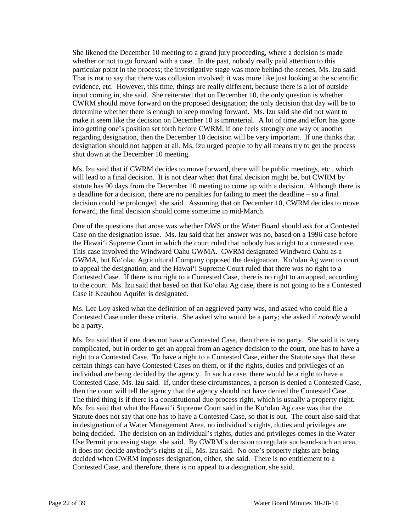She likened the December 10 meeting to a grand jury proceeding, where a decision is made whether or not to go forward with a case. In the past, nobody really paid attention to this particular point in the process; the investigative stage was more behind-the-scenes, Ms. Izu said. That is not to say that there was collusion involved; it was more like just looking at the scientific evidence, etc. However, this time, things are really different, because there is a lot of outside input coming in, she said. She reiterated that on December 10, the only question is whether CWRM should move forward on the proposed designation; the only decision that day will be to determine whether there is enough to keep moving forward. Ms. Izu said she did not want to make it seem like the decision on December 10 is immaterial. A lot of time and effort has gone into getting one's position set forth before CWRM; if one feels strongly one way or another regarding designation, then the December 10 decision will be very important. If one thinks that designation should not happen at all, Ms. Izu urged people to by all means try to get the process shut down at the December 10 meeting.

Ms. Izu said that if CWRM decides to move forward, there will be public meetings, etc., which will lead to a final decision. It is not clear when that final decision might be, but CWRM by statute has 90 days from the December 10 meeting to come up with a decision. Although there is a deadline for a decision, there are no penalties for failing to meet the deadline – so a final decision could be prolonged, she said. Assuming that on December 10, CWRM decides to move forward, the final decision should come sometime in mid-March.

One of the questions that arose was whether DWS or the Water Board should ask for a Contested Case on the designation issue. Ms. Izu said that her answer was no, based on a 1996 case before the Hawai'i Supreme Court in which the court ruled that nobody has a right to a contested case. This case involved the Windward Oahu GWMA. CWRM designated Windward Oahu as a GWMA, but Ko'olau Agricultural Company opposed the designation. Ko'olau Ag went to court to appeal the designation, and the Hawai'i Supreme Court ruled that there was no right to a Contested Case. If there is no right to a Contested Case, there is no right to an appeal, according to the court. Ms. Izu said that based on that Ko'olau Ag case, there is not going to be a Contested Case if Keauhou Aquifer is designated.

Ms. Lee Loy asked what the definition of an aggrieved party was, and asked who could file a Contested Case under these criteria. She asked who would be a party; she asked if *nobody* would be a party.

Ms. Izu said that if one does not have a Contested Case, then there is no party. She said it is very complicated, but in order to get an appeal from an agency decision to the court, one has to have a right to a Contested Case. To have a right to a Contested Case, either the Statute says that these certain things can have Contested Cases on them, or if the rights, duties and privileges of an individual are being decided by the agency. In such a case, there would be a right to have a Contested Case, Ms. Izu said. If, under these circumstances, a person is denied a Contested Case, then the court will tell the agency that the agency should not have denied the Contested Case. The third thing is if there is a constitutional due-process right, which is usually a property right. Ms. Izu said that what the Hawai'i Supreme Court said in the Ko'olau Ag case was that the Statute does not say that one has to have a Contested Case, so that is out. The court also said that in designation of a Water Management Area, no individual's rights, duties and privileges are being decided. The decision on an individual's rights, duties and privileges comes in the Water Use Permit processing stage, she said. By CWRM's decision to regulate such-and-such an area, it does not decide anybody's rights at all, Ms. Izu said. No one's property rights are being decided when CWRM imposes designation, either, she said. There is no entitlement to a Contested Case, and therefore, there is no appeal to a designation, she said.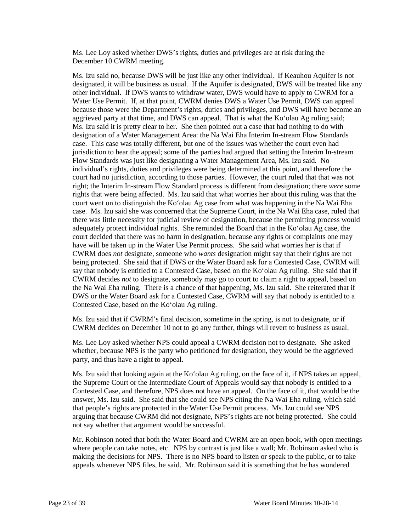Ms. Lee Loy asked whether DWS's rights, duties and privileges are at risk during the December 10 CWRM meeting.

Ms. Izu said no, because DWS will be just like any other individual. If Keauhou Aquifer is not designated, it will be business as usual. If the Aquifer is designated, DWS will be treated like any other individual. If DWS wants to withdraw water, DWS would have to apply to CWRM for a Water Use Permit. If, at that point, CWRM denies DWS a Water Use Permit, DWS can appeal because those were the Department's rights, duties and privileges, and DWS will have become an aggrieved party at that time, and DWS can appeal. That is what the Ko'olau Ag ruling said; Ms. Izu said it is pretty clear to her. She then pointed out a case that had nothing to do with designation of a Water Management Area: the Na Wai Eha Interim In-stream Flow Standards case. This case was totally different, but one of the issues was whether the court even had jurisdiction to hear the appeal; some of the parties had argued that setting the Interim In-stream Flow Standards was just like designating a Water Management Area, Ms. Izu said. No individual's rights, duties and privileges were being determined at this point, and therefore the court had no jurisdiction, according to those parties. However, the court ruled that that was not right; the Interim In-stream Flow Standard process is different from designation; there *were* some rights that were being affected. Ms. Izu said that what worries her about this ruling was that the court went on to distinguish the Ko'olau Ag case from what was happening in the Na Wai Eha case. Ms. Izu said she was concerned that the Supreme Court, in the Na Wai Eha case, ruled that there was little necessity for judicial review of designation, because the permitting process would adequately protect individual rights. She reminded the Board that in the Ko'olau Ag case, the court decided that there was no harm in designation, because any rights or complaints one may have will be taken up in the Water Use Permit process. She said what worries her is that if CWRM does *not* designate, someone who *wants* designation might say that their rights are not being protected. She said that if DWS or the Water Board ask for a Contested Case, CWRM will say that nobody is entitled to a Contested Case, based on the Ko'olau Ag ruling. She said that if CWRM decides *not* to designate, somebody may go to court to claim a right to appeal, based on the Na Wai Eha ruling. There is a chance of that happening, Ms. Izu said. She reiterated that if DWS or the Water Board ask for a Contested Case, CWRM will say that nobody is entitled to a Contested Case, based on the Ko'olau Ag ruling.

Ms. Izu said that if CWRM's final decision, sometime in the spring, is not to designate, or if CWRM decides on December 10 not to go any further, things will revert to business as usual.

Ms. Lee Loy asked whether NPS could appeal a CWRM decision not to designate. She asked whether, because NPS is the party who petitioned for designation, they would be the aggrieved party, and thus have a right to appeal.

Ms. Izu said that looking again at the Ko'olau Ag ruling, on the face of it, if NPS takes an appeal, the Supreme Court or the Intermediate Court of Appeals would say that nobody is entitled to a Contested Case, and therefore, NPS does not have an appeal. On the face of it, that would be the answer, Ms. Izu said. She said that she could see NPS citing the Na Wai Eha ruling, which said that people's rights are protected in the Water Use Permit process. Ms. Izu could see NPS arguing that because CWRM did not designate, NPS's rights are not being protected. She could not say whether that argument would be successful.

Mr. Robinson noted that both the Water Board and CWRM are an open book, with open meetings where people can take notes, etc. NPS by contrast is just like a wall; Mr. Robinson asked who is making the decisions for NPS. There is no NPS board to listen or speak to the public, or to take appeals whenever NPS files, he said. Mr. Robinson said it is something that he has wondered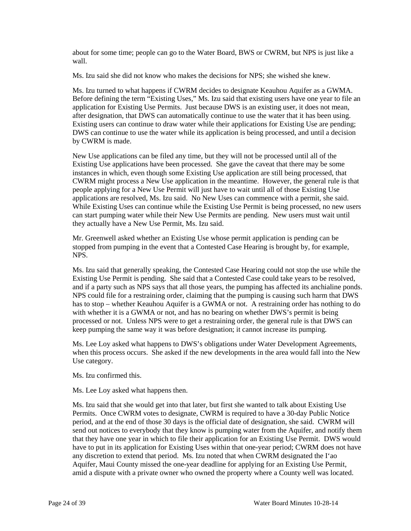about for some time; people can go to the Water Board, BWS or CWRM, but NPS is just like a wall.

Ms. Izu said she did not know who makes the decisions for NPS; she wished she knew.

Ms. Izu turned to what happens if CWRM decides to designate Keauhou Aquifer as a GWMA. Before defining the term "Existing Uses," Ms. Izu said that existing users have one year to file an application for Existing Use Permits. Just because DWS is an existing user, it does not mean, after designation, that DWS can automatically continue to use the water that it has been using. Existing users can continue to draw water while their applications for Existing Use are pending; DWS can continue to use the water while its application is being processed, and until a decision by CWRM is made.

New Use applications can be filed any time, but they will not be processed until all of the Existing Use applications have been processed. She gave the caveat that there may be some instances in which, even though some Existing Use application are still being processed, that CWRM might process a New Use application in the meantime. However, the general rule is that people applying for a New Use Permit will just have to wait until all of those Existing Use applications are resolved, Ms. Izu said. No New Uses can commence with a permit, she said. While Existing Uses can continue while the Existing Use Permit is being processed, no new users can start pumping water while their New Use Permits are pending. New users must wait until they actually have a New Use Permit, Ms. Izu said.

Mr. Greenwell asked whether an Existing Use whose permit application is pending can be stopped from pumping in the event that a Contested Case Hearing is brought by, for example, NPS.

Ms. Izu said that generally speaking, the Contested Case Hearing could not stop the use while the Existing Use Permit is pending. She said that a Contested Case could take years to be resolved, and if a party such as NPS says that all those years, the pumping has affected its anchialine ponds. NPS could file for a restraining order, claiming that the pumping is causing such harm that DWS has to stop – whether Keauhou Aquifer is a GWMA or not. A restraining order has nothing to do with whether it is a GWMA or not, and has no bearing on whether DWS's permit is being processed or not. Unless NPS were to get a restraining order, the general rule is that DWS can keep pumping the same way it was before designation; it cannot increase its pumping.

Ms. Lee Loy asked what happens to DWS's obligations under Water Development Agreements, when this process occurs. She asked if the new developments in the area would fall into the New Use category.

Ms. Izu confirmed this.

Ms. Lee Loy asked what happens then.

Ms. Izu said that she would get into that later, but first she wanted to talk about Existing Use Permits. Once CWRM votes to designate, CWRM is required to have a 30-day Public Notice period, and at the end of those 30 days is the official date of designation, she said. CWRM will send out notices to everybody that they know is pumping water from the Aquifer, and notify them that they have one year in which to file their application for an Existing Use Permit. DWS would have to put in its application for Existing Uses within that one-year period; CWRM does not have any discretion to extend that period. Ms. Izu noted that when CWRM designated the I'ao Aquifer, Maui County missed the one-year deadline for applying for an Existing Use Permit, amid a dispute with a private owner who owned the property where a County well was located.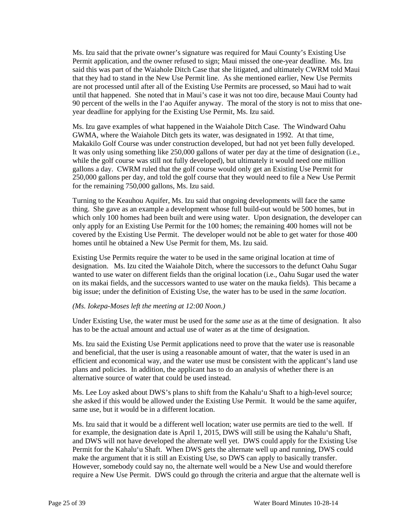Ms. Izu said that the private owner's signature was required for Maui County's Existing Use Permit application, and the owner refused to sign; Maui missed the one-year deadline. Ms. Izu said this was part of the Waiahole Ditch Case that she litigated, and ultimately CWRM told Maui that they had to stand in the New Use Permit line. As she mentioned earlier, New Use Permits are not processed until after all of the Existing Use Permits are processed, so Maui had to wait until that happened. She noted that in Maui's case it was not too dire, because Maui County had 90 percent of the wells in the I'ao Aquifer anyway. The moral of the story is not to miss that oneyear deadline for applying for the Existing Use Permit, Ms. Izu said.

Ms. Izu gave examples of what happened in the Waiahole Ditch Case. The Windward Oahu GWMA, where the Waiahole Ditch gets its water, was designated in 1992. At that time, Makakilo Golf Course was under construction developed, but had not yet been fully developed. It was only using something like 250,000 gallons of water per day at the time of designation (i.e., while the golf course was still not fully developed), but ultimately it would need one million gallons a day. CWRM ruled that the golf course would only get an Existing Use Permit for 250,000 gallons per day, and told the golf course that they would need to file a New Use Permit for the remaining 750,000 gallons, Ms. Izu said.

Turning to the Keauhou Aquifer, Ms. Izu said that ongoing developments will face the same thing. She gave as an example a development whose full build-out would be 500 homes, but in which only 100 homes had been built and were using water. Upon designation, the developer can only apply for an Existing Use Permit for the 100 homes; the remaining 400 homes will not be covered by the Existing Use Permit. The developer would not be able to get water for those 400 homes until he obtained a New Use Permit for them, Ms. Izu said.

Existing Use Permits require the water to be used in the same original location at time of designation. Ms. Izu cited the Waiahole Ditch, where the successors to the defunct Oahu Sugar wanted to use water on different fields than the original location (i.e., Oahu Sugar used the water on its makai fields, and the successors wanted to use water on the mauka fields). This became a big issue; under the definition of Existing Use, the water has to be used in the *same location*.

### *(Ms. Iokepa-Moses left the meeting at 12:00 Noon.)*

Under Existing Use, the water must be used for the *same use* as at the time of designation. It also has to be the actual amount and actual use of water as at the time of designation.

Ms. Izu said the Existing Use Permit applications need to prove that the water use is reasonable and beneficial, that the user is using a reasonable amount of water, that the water is used in an efficient and economical way, and the water use must be consistent with the applicant's land use plans and policies. In addition, the applicant has to do an analysis of whether there is an alternative source of water that could be used instead.

Ms. Lee Loy asked about DWS's plans to shift from the Kahalu'u Shaft to a high-level source; she asked if this would be allowed under the Existing Use Permit. It would be the same aquifer, same use, but it would be in a different location.

Ms. Izu said that it would be a different well location; water use permits are tied to the well. If for example, the designation date is April 1, 2015, DWS will still be using the Kahalu'u Shaft, and DWS will not have developed the alternate well yet. DWS could apply for the Existing Use Permit for the Kahalu'u Shaft. When DWS gets the alternate well up and running, DWS could make the argument that it is still an Existing Use, so DWS can apply to basically transfer. However, somebody could say no, the alternate well would be a New Use and would therefore require a New Use Permit. DWS could go through the criteria and argue that the alternate well is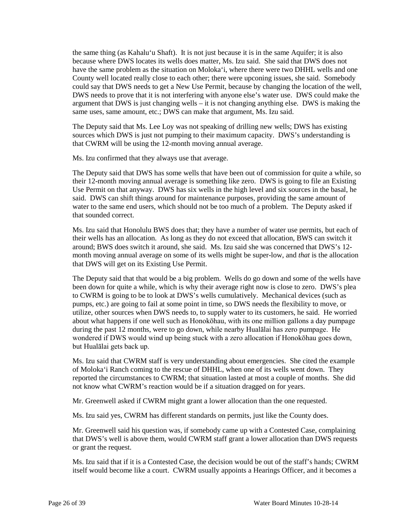the same thing (as Kahalu'u Shaft). It is not just because it is in the same Aquifer; it is also because where DWS locates its wells does matter, Ms. Izu said. She said that DWS does not have the same problem as the situation on Moloka'i, where there were two DHHL wells and one County well located really close to each other; there were upconing issues, she said. Somebody could say that DWS needs to get a New Use Permit, because by changing the location of the well, DWS needs to prove that it is not interfering with anyone else's water use. DWS could make the argument that DWS is just changing wells – it is not changing anything else. DWS is making the same uses, same amount, etc.; DWS can make that argument, Ms. Izu said.

The Deputy said that Ms. Lee Loy was not speaking of drilling new wells; DWS has existing sources which DWS is just not pumping to their maximum capacity. DWS's understanding is that CWRM will be using the 12-month moving annual average.

Ms. Izu confirmed that they always use that average.

The Deputy said that DWS has some wells that have been out of commission for quite a while, so their 12-month moving annual average is something like zero. DWS is going to file an Existing Use Permit on that anyway. DWS has six wells in the high level and six sources in the basal, he said. DWS can shift things around for maintenance purposes, providing the same amount of water to the same end users, which should not be too much of a problem. The Deputy asked if that sounded correct.

Ms. Izu said that Honolulu BWS does that; they have a number of water use permits, but each of their wells has an allocation. As long as they do not exceed that allocation, BWS can switch it around; BWS does switch it around, she said. Ms. Izu said she was concerned that DWS's 12 month moving annual average on some of its wells might be super-low, and *that* is the allocation that DWS will get on its Existing Use Permit.

The Deputy said that that would be a big problem. Wells do go down and some of the wells have been down for quite a while, which is why their average right now is close to zero. DWS's plea to CWRM is going to be to look at DWS's wells cumulatively. Mechanical devices (such as pumps, etc.) are going to fail at some point in time, so DWS needs the flexibility to move, or utilize, other sources when DWS needs to, to supply water to its customers, he said. He worried about what happens if one well such as Honokōhau, with its one million gallons a day pumpage during the past 12 months, were to go down, while nearby Hualālai has zero pumpage. He wondered if DWS would wind up being stuck with a zero allocation if Honokōhau goes down, but Hualālai gets back up.

Ms. Izu said that CWRM staff is very understanding about emergencies. She cited the example of Moloka'i Ranch coming to the rescue of DHHL, when one of its wells went down. They reported the circumstances to CWRM; that situation lasted at most a couple of months. She did not know what CWRM's reaction would be if a situation dragged on for years.

Mr. Greenwell asked if CWRM might grant a lower allocation than the one requested.

Ms. Izu said yes, CWRM has different standards on permits, just like the County does.

Mr. Greenwell said his question was, if somebody came up with a Contested Case, complaining that DWS's well is above them, would CWRM staff grant a lower allocation than DWS requests or grant the request.

Ms. Izu said that if it is a Contested Case, the decision would be out of the staff's hands; CWRM itself would become like a court. CWRM usually appoints a Hearings Officer, and it becomes a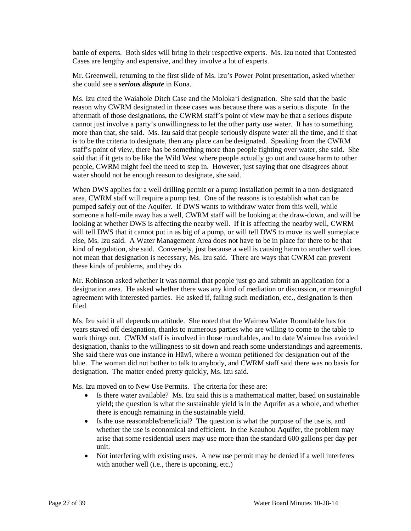battle of experts. Both sides will bring in their respective experts. Ms. Izu noted that Contested Cases are lengthy and expensive, and they involve a lot of experts.

Mr. Greenwell, returning to the first slide of Ms. Izu's Power Point presentation, asked whether she could see a *serious dispute* in Kona.

Ms. Izu cited the Waiahole Ditch Case and the Moloka'i designation. She said that the basic reason why CWRM designated in those cases was because there was a serious dispute. In the aftermath of those designations, the CWRM staff's point of view may be that a serious dispute cannot just involve a party's unwillingness to let the other party use water. It has to something more than that, she said. Ms. Izu said that people seriously dispute water all the time, and if that is to be the criteria to designate, then any place can be designated. Speaking from the CWRM staff's point of view, there has be something more than people fighting over water, she said. She said that if it gets to be like the Wild West where people actually go out and cause harm to other people, CWRM might feel the need to step in. However, just saying that one disagrees about water should not be enough reason to designate, she said.

When DWS applies for a well drilling permit or a pump installation permit in a non-designated area, CWRM staff will require a pump test. One of the reasons is to establish what can be pumped safely out of the Aquifer. If DWS wants to withdraw water from this well, while someone a half-mile away has a well, CWRM staff will be looking at the draw-down, and will be looking at whether DWS is affecting the nearby well. If it is affecting the nearby well, CWRM will tell DWS that it cannot put in as big of a pump, or will tell DWS to move its well someplace else, Ms. Izu said. A Water Management Area does not have to be in place for there to be that kind of regulation, she said. Conversely, just because a well is causing harm to another well does not mean that designation is necessary, Ms. Izu said. There are ways that CWRM can prevent these kinds of problems, and they do.

Mr. Robinson asked whether it was normal that people just go and submit an application for a designation area. He asked whether there was any kind of mediation or discussion, or meaningful agreement with interested parties. He asked if, failing such mediation, etc., designation is then filed.

Ms. Izu said it all depends on attitude. She noted that the Waimea Water Roundtable has for years staved off designation, thanks to numerous parties who are willing to come to the table to work things out. CWRM staff is involved in those roundtables, and to date Waimea has avoided designation, thanks to the willingness to sit down and reach some understandings and agreements. She said there was one instance in Hāwī, where a woman petitioned for designation out of the blue. The woman did not bother to talk to anybody, and CWRM staff said there was no basis for designation. The matter ended pretty quickly, Ms. Izu said.

Ms. Izu moved on to New Use Permits. The criteria for these are:

- Is there water available? Ms. Izu said this is a mathematical matter, based on sustainable yield; the question is what the sustainable yield is in the Aquifer as a whole, and whether there is enough remaining in the sustainable yield.
- Is the use reasonable/beneficial? The question is what the purpose of the use is, and whether the use is economical and efficient. In the Keauhou Aquifer, the problem may arise that some residential users may use more than the standard 600 gallons per day per unit.
- Not interfering with existing uses. A new use permit may be denied if a well interferes with another well (i.e., there is upconing, etc.)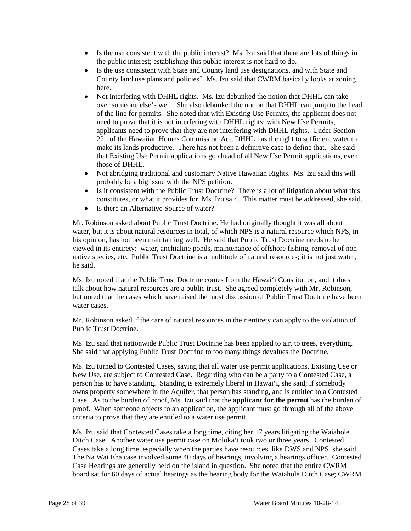- Is the use consistent with the public interest? Ms. Izu said that there are lots of things in the public interest; establishing this public interest is not hard to do.
- Is the use consistent with State and County land use designations, and with State and County land use plans and policies? Ms. Izu said that CWRM basically looks at zoning here.
- Not interfering with DHHL rights. Ms. Izu debunked the notion that DHHL can take over someone else's well. She also debunked the notion that DHHL can jump to the head of the line for permits. She noted that with Existing Use Permits, the applicant does not need to prove that it is not interfering with DHHL rights; with New Use Permits, applicants need to prove that they are not interfering with DHHL rights. Under Section 221 of the Hawaiian Homes Commission Act, DHHL has the right to sufficient water to make its lands productive. There has not been a definitive case to define that. She said that Existing Use Permit applications go ahead of all New Use Permit applications, even those of DHHL.
- Not abridging traditional and customary Native Hawaiian Rights. Ms. Izu said this will probably be a big issue with the NPS petition.
- Is it consistent with the Public Trust Doctrine? There is a lot of litigation about what this constitutes, or what it provides for, Ms. Izu said. This matter must be addressed, she said.
- Is there an Alternative Source of water?

Mr. Robinson asked about Public Trust Doctrine. He had originally thought it was all about water, but it is about natural resources in total, of which NPS is a natural resource which NPS, in his opinion, has not been maintaining well. He said that Public Trust Doctrine needs to be viewed in its entirety: water, anchialine ponds, maintenance of offshore fishing, removal of nonnative species, etc. Public Trust Doctrine is a multitude of natural resources; it is not just water, he said.

Ms. Izu noted that the Public Trust Doctrine comes from the Hawai'i Constitution, and it does talk about how natural resources are a public trust. She agreed completely with Mr. Robinson, but noted that the cases which have raised the most discussion of Public Trust Doctrine have been water cases.

Mr. Robinson asked if the care of natural resources in their entirety can apply to the violation of Public Trust Doctrine.

Ms. Izu said that nationwide Public Trust Doctrine has been applied to air, to trees, everything. She said that applying Public Trust Doctrine to too many things devalues the Doctrine.

Ms. Izu turned to Contested Cases, saying that all water use permit applications, Existing Use or New Use, are subject to Contested Case. Regarding who can be a party to a Contested Case, a person has to have standing. Standing is extremely liberal in Hawai'i, she said; if somebody owns property somewhere in the Aquifer, that person has standing, and is entitled to a Contested Case. As to the burden of proof, Ms. Izu said that the **applicant for the permit** has the burden of proof. When someone objects to an application, the applicant must go through all of the above criteria to prove that they are entitled to a water use permit.

Ms. Izu said that Contested Cases take a long time, citing her 17 years litigating the Waiahole Ditch Case. Another water use permit case on Moloka'i took two or three years. Contested Cases take a long time, especially when the parties have resources, like DWS and NPS, she said. The Na Wai Eha case involved some 40 days of hearings, involving a hearings officer. Contested Case Hearings are generally held on the island in question. She noted that the entire CWRM board sat for 60 days of actual hearings as the hearing body for the Waiahole Ditch Case; CWRM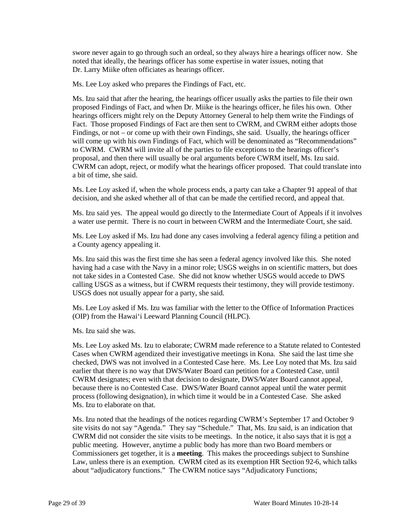swore never again to go through such an ordeal, so they always hire a hearings officer now. She noted that ideally, the hearings officer has some expertise in water issues, noting that Dr. Larry Miike often officiates as hearings officer.

Ms. Lee Loy asked who prepares the Findings of Fact, etc.

Ms. Izu said that after the hearing, the hearings officer usually asks the parties to file their own proposed Findings of Fact, and when Dr. Miike is the hearings officer, he files his own. Other hearings officers might rely on the Deputy Attorney General to help them write the Findings of Fact. Those proposed Findings of Fact are then sent to CWRM, and CWRM either adopts those Findings, or not – or come up with their own Findings, she said. Usually, the hearings officer will come up with his own Findings of Fact, which will be denominated as "Recommendations" to CWRM. CWRM will invite all of the parties to file exceptions to the hearings officer's proposal, and then there will usually be oral arguments before CWRM itself, Ms. Izu said. CWRM can adopt, reject, or modify what the hearings officer proposed. That could translate into a bit of time, she said.

Ms. Lee Loy asked if, when the whole process ends, a party can take a Chapter 91 appeal of that decision, and she asked whether all of that can be made the certified record, and appeal that.

Ms. Izu said yes. The appeal would go directly to the Intermediate Court of Appeals if it involves a water use permit. There is no court in between CWRM and the Intermediate Court, she said.

Ms. Lee Loy asked if Ms. Izu had done any cases involving a federal agency filing a petition and a County agency appealing it.

Ms. Izu said this was the first time she has seen a federal agency involved like this. She noted having had a case with the Navy in a minor role; USGS weighs in on scientific matters, but does not take sides in a Contested Case. She did not know whether USGS would accede to DWS calling USGS as a witness, but if CWRM requests their testimony, they will provide testimony. USGS does not usually appear for a party, she said.

Ms. Lee Loy asked if Ms. Izu was familiar with the letter to the Office of Information Practices (OIP) from the Hawai'i Leeward Planning Council (HLPC).

Ms. Izu said she was.

Ms. Lee Loy asked Ms. Izu to elaborate; CWRM made reference to a Statute related to Contested Cases when CWRM agendized their investigative meetings in Kona. She said the last time she checked, DWS was not involved in a Contested Case here. Ms. Lee Loy noted that Ms. Izu said earlier that there is no way that DWS/Water Board can petition for a Contested Case, until CWRM designates; even with that decision to designate, DWS/Water Board cannot appeal, because there is no Contested Case. DWS/Water Board cannot appeal until the water permit process (following designation), in which time it would be in a Contested Case. She asked Ms. Izu to elaborate on that.

Ms. Izu noted that the headings of the notices regarding CWRM's September 17 and October 9 site visits do not say "Agenda." They say "Schedule." That, Ms. Izu said, is an indication that CWRM did not consider the site visits to be meetings. In the notice, it also says that it is not a public meeting. However, anytime a public body has more than two Board members or Commissioners get together, it is a **meeting**. This makes the proceedings subject to Sunshine Law, unless there is an exemption. CWRM cited as its exemption HR Section 92-6, which talks about "adjudicatory functions." The CWRM notice says "Adjudicatory Functions;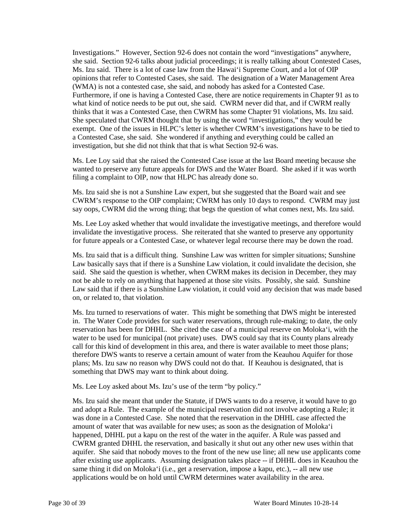Investigations." However, Section 92-6 does not contain the word "investigations" anywhere, she said. Section 92-6 talks about judicial proceedings; it is really talking about Contested Cases, Ms. Izu said. There is a lot of case law from the Hawai'i Supreme Court, and a lot of OIP opinions that refer to Contested Cases, she said. The designation of a Water Management Area (WMA) is not a contested case, she said, and nobody has asked for a Contested Case. Furthermore, if one is having a Contested Case, there are notice requirements in Chapter 91 as to what kind of notice needs to be put out, she said. CWRM never did that, and if CWRM really thinks that it was a Contested Case, then CWRM has some Chapter 91 violations, Ms. Izu said. She speculated that CWRM thought that by using the word "investigations," they would be exempt. One of the issues in HLPC's letter is whether CWRM's investigations have to be tied to a Contested Case, she said. She wondered if anything and everything could be called an investigation, but she did not think that that is what Section 92-6 was.

Ms. Lee Loy said that she raised the Contested Case issue at the last Board meeting because she wanted to preserve any future appeals for DWS and the Water Board. She asked if it was worth filing a complaint to OIP, now that HLPC has already done so.

Ms. Izu said she is not a Sunshine Law expert, but she suggested that the Board wait and see CWRM's response to the OIP complaint; CWRM has only 10 days to respond. CWRM may just say oops, CWRM did the wrong thing; that begs the question of what comes next, Ms. Izu said.

Ms. Lee Loy asked whether that would invalidate the investigative meetings, and therefore would invalidate the investigative process. She reiterated that she wanted to preserve any opportunity for future appeals or a Contested Case, or whatever legal recourse there may be down the road.

Ms. Izu said that is a difficult thing. Sunshine Law was written for simpler situations; Sunshine Law basically says that if there is a Sunshine Law violation, it could invalidate the decision, she said. She said the question is whether, when CWRM makes its decision in December, they may not be able to rely on anything that happened at those site visits. Possibly, she said. Sunshine Law said that if there is a Sunshine Law violation, it could void any decision that was made based on, or related to, that violation.

Ms. Izu turned to reservations of water. This might be something that DWS might be interested in. The Water Code provides for such water reservations, through rule-making; to date, the only reservation has been for DHHL. She cited the case of a municipal reserve on Moloka'i, with the water to be used for municipal (not private) uses. DWS could say that its County plans already call for this kind of development in this area, and there is water available to meet those plans; therefore DWS wants to reserve a certain amount of water from the Keauhou Aquifer for those plans; Ms. Izu saw no reason why DWS could not do that. If Keauhou is designated, that is something that DWS may want to think about doing.

Ms. Lee Loy asked about Ms. Izu's use of the term "by policy."

Ms. Izu said she meant that under the Statute, if DWS wants to do a reserve, it would have to go and adopt a Rule. The example of the municipal reservation did not involve adopting a Rule; it was done in a Contested Case. She noted that the reservation in the DHHL case affected the amount of water that was available for new uses; as soon as the designation of Moloka'i happened, DHHL put a kapu on the rest of the water in the aquifer. A Rule was passed and CWRM granted DHHL the reservation, and basically it shut out any other new uses within that aquifer. She said that nobody moves to the front of the new use line; all new use applicants come after existing use applicants. Assuming designation takes place -- if DHHL does in Keauhou the same thing it did on Moloka'i (i.e., get a reservation, impose a kapu, etc.), -- all new use applications would be on hold until CWRM determines water availability in the area.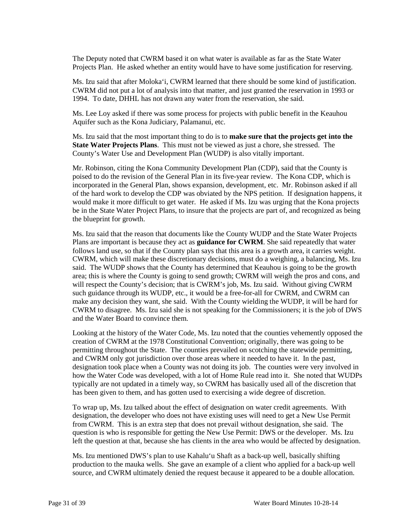The Deputy noted that CWRM based it on what water is available as far as the State Water Projects Plan. He asked whether an entity would have to have some justification for reserving.

Ms. Izu said that after Moloka'i, CWRM learned that there should be some kind of justification. CWRM did not put a lot of analysis into that matter, and just granted the reservation in 1993 or 1994. To date, DHHL has not drawn any water from the reservation, she said.

Ms. Lee Loy asked if there was some process for projects with public benefit in the Keauhou Aquifer such as the Kona Judiciary, Palamanui, etc.

Ms. Izu said that the most important thing to do is to **make sure that the projects get into the State Water Projects Plans**. This must not be viewed as just a chore, she stressed. The County's Water Use and Development Plan (WUDP) is also vitally important.

Mr. Robinson, citing the Kona Community Development Plan (CDP), said that the County is poised to do the revision of the General Plan in its five-year review. The Kona CDP, which is incorporated in the General Plan, shows expansion, development, etc. Mr. Robinson asked if all of the hard work to develop the CDP was obviated by the NPS petition. If designation happens, it would make it more difficult to get water. He asked if Ms. Izu was urging that the Kona projects be in the State Water Project Plans, to insure that the projects are part of, and recognized as being the blueprint for growth.

Ms. Izu said that the reason that documents like the County WUDP and the State Water Projects Plans are important is because they act as **guidance for CWRM**. She said repeatedly that water follows land use, so that if the County plan says that this area is a growth area, it carries weight. CWRM, which will make these discretionary decisions, must do a weighing, a balancing, Ms. Izu said. The WUDP shows that the County has determined that Keauhou is going to be the growth area; this is where the County is going to send growth; CWRM will weigh the pros and cons, and will respect the County's decision; that is CWRM's job, Ms. Izu said. Without giving CWRM such guidance through its WUDP, etc., it would be a free-for-all for CWRM, and CWRM can make any decision they want, she said. With the County wielding the WUDP, it will be hard for CWRM to disagree. Ms. Izu said she is not speaking for the Commissioners; it is the job of DWS and the Water Board to convince them.

Looking at the history of the Water Code, Ms. Izu noted that the counties vehemently opposed the creation of CWRM at the 1978 Constitutional Convention; originally, there was going to be permitting throughout the State. The counties prevailed on scotching the statewide permitting, and CWRM only got jurisdiction over those areas where it needed to have it. In the past, designation took place when a County was not doing its job. The counties were very involved in how the Water Code was developed, with a lot of Home Rule read into it. She noted that WUDPs typically are not updated in a timely way, so CWRM has basically used all of the discretion that has been given to them, and has gotten used to exercising a wide degree of discretion.

To wrap up, Ms. Izu talked about the effect of designation on water credit agreements. With designation, the developer who does not have existing uses will need to get a New Use Permit from CWRM. This is an extra step that does not prevail without designation, she said. The question is who is responsible for getting the New Use Permit: DWS or the developer. Ms. Izu left the question at that, because she has clients in the area who would be affected by designation.

Ms. Izu mentioned DWS's plan to use Kahalu'u Shaft as a back-up well, basically shifting production to the mauka wells. She gave an example of a client who applied for a back-up well source, and CWRM ultimately denied the request because it appeared to be a double allocation.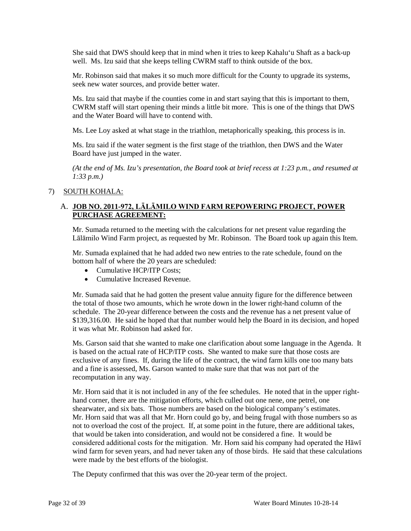She said that DWS should keep that in mind when it tries to keep Kahalu'u Shaft as a back-up well. Ms. Izu said that she keeps telling CWRM staff to think outside of the box.

Mr. Robinson said that makes it so much more difficult for the County to upgrade its systems, seek new water sources, and provide better water.

Ms. Izu said that maybe if the counties come in and start saying that this is important to them, CWRM staff will start opening their minds a little bit more. This is one of the things that DWS and the Water Board will have to contend with.

Ms. Lee Loy asked at what stage in the triathlon, metaphorically speaking, this process is in.

Ms. Izu said if the water segment is the first stage of the triathlon, then DWS and the Water Board have just jumped in the water.

*(At the end of Ms. Izu's presentation, the Board took at brief recess at 1:23 p.m., and resumed at 1:33 p.m.)*

# 7) SOUTH KOHALA:

# A. **JOB NO. 2011-972, LĀLĀMILO WIND FARM REPOWERING PROJECT, POWER PURCHASE AGREEMENT:**

Mr. Sumada returned to the meeting with the calculations for net present value regarding the Lālāmilo Wind Farm project, as requested by Mr. Robinson. The Board took up again this Item.

Mr. Sumada explained that he had added two new entries to the rate schedule, found on the bottom half of where the 20 years are scheduled:

- Cumulative HCP/ITP Costs:
- Cumulative Increased Revenue.

Mr. Sumada said that he had gotten the present value annuity figure for the difference between the total of those two amounts, which he wrote down in the lower right-hand column of the schedule. The 20-year difference between the costs and the revenue has a net present value of \$139,316.00. He said he hoped that that number would help the Board in its decision, and hoped it was what Mr. Robinson had asked for.

Ms. Garson said that she wanted to make one clarification about some language in the Agenda. It is based on the actual rate of HCP/ITP costs. She wanted to make sure that those costs are exclusive of any fines. If, during the life of the contract, the wind farm kills one too many bats and a fine is assessed, Ms. Garson wanted to make sure that that was not part of the recomputation in any way.

Mr. Horn said that it is not included in any of the fee schedules. He noted that in the upper righthand corner, there are the mitigation efforts, which culled out one nene, one petrel, one shearwater, and six bats. Those numbers are based on the biological company's estimates. Mr. Horn said that was all that Mr. Horn could go by, and being frugal with those numbers so as not to overload the cost of the project. If, at some point in the future, there are additional takes, that would be taken into consideration, and would not be considered a fine. It would be considered additional costs for the mitigation. Mr. Horn said his company had operated the Hāwī wind farm for seven years, and had never taken any of those birds. He said that these calculations were made by the best efforts of the biologist.

The Deputy confirmed that this was over the 20-year term of the project.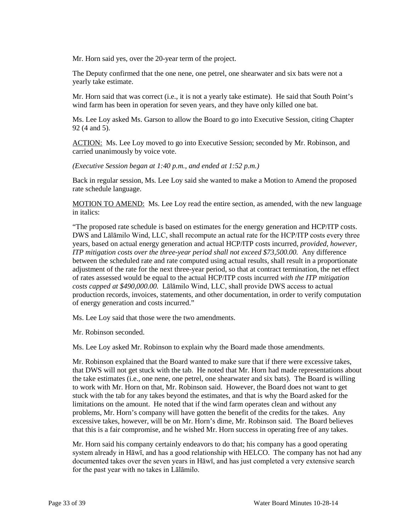Mr. Horn said yes, over the 20-year term of the project.

The Deputy confirmed that the one nene, one petrel, one shearwater and six bats were not a yearly take estimate.

Mr. Horn said that was correct (i.e., it is not a yearly take estimate). He said that South Point's wind farm has been in operation for seven years, and they have only killed one bat.

Ms. Lee Loy asked Ms. Garson to allow the Board to go into Executive Session, citing Chapter 92 (4 and 5).

ACTION: Ms. Lee Loy moved to go into Executive Session; seconded by Mr. Robinson, and carried unanimously by voice vote.

*(Executive Session began at 1:40 p.m., and ended at 1:52 p.m.)*

Back in regular session, Ms. Lee Loy said she wanted to make a Motion to Amend the proposed rate schedule language.

MOTION TO AMEND: Ms. Lee Loy read the entire section, as amended, with the new language in italics:

"The proposed rate schedule is based on estimates for the energy generation and HCP/ITP costs. DWS and Lālāmilo Wind, LLC, shall recompute an actual rate for the HCP/ITP costs every three years, based on actual energy generation and actual HCP/ITP costs incurred, *provided, however, ITP mitigation costs over the three-year period shall not exceed \$73,500.00.* Any difference between the scheduled rate and rate computed using actual results, shall result in a proportionate adjustment of the rate for the next three-year period, so that at contract termination, the net effect of rates assessed would be equal to the actual HCP/ITP costs incurred *with the ITP mitigation costs capped at \$490,000.00.* Lālāmilo Wind, LLC, shall provide DWS access to actual production records, invoices, statements, and other documentation, in order to verify computation of energy generation and costs incurred."

Ms. Lee Loy said that those were the two amendments.

Mr. Robinson seconded.

Ms. Lee Loy asked Mr. Robinson to explain why the Board made those amendments.

Mr. Robinson explained that the Board wanted to make sure that if there were excessive takes, that DWS will not get stuck with the tab. He noted that Mr. Horn had made representations about the take estimates (i.e., one nene, one petrel, one shearwater and six bats). The Board is willing to work with Mr. Horn on that, Mr. Robinson said. However, the Board does not want to get stuck with the tab for any takes beyond the estimates, and that is why the Board asked for the limitations on the amount. He noted that if the wind farm operates clean and without any problems, Mr. Horn's company will have gotten the benefit of the credits for the takes. Any excessive takes, however, will be on Mr. Horn's dime, Mr. Robinson said. The Board believes that this is a fair compromise, and he wished Mr. Horn success in operating free of any takes.

Mr. Horn said his company certainly endeavors to do that; his company has a good operating system already in Hāwī, and has a good relationship with HELCO. The company has not had any documented takes over the seven years in Hāwī, and has just completed a very extensive search for the past year with no takes in Lālāmilo.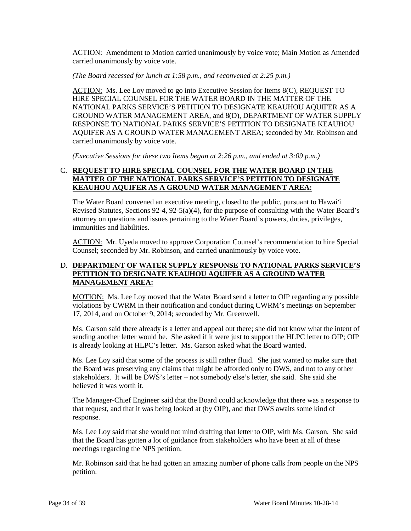ACTION: Amendment to Motion carried unanimously by voice vote; Main Motion as Amended carried unanimously by voice vote.

*(The Board recessed for lunch at 1:58 p.m., and reconvened at 2:25 p.m.)*

ACTION: Ms. Lee Loy moved to go into Executive Session for Items 8(C), REQUEST TO HIRE SPECIAL COUNSEL FOR THE WATER BOARD IN THE MATTER OF THE NATIONAL PARKS SERVICE'S PETITION TO DESIGNATE KEAUHOU AQUIFER AS A GROUND WATER MANAGEMENT AREA, and 8(D), DEPARTMENT OF WATER SUPPLY RESPONSE TO NATIONAL PARKS SERVICE'S PETITION TO DESIGNATE KEAUHOU AQUIFER AS A GROUND WATER MANAGEMENT AREA; seconded by Mr. Robinson and carried unanimously by voice vote.

*(Executive Sessions for these two Items began at 2:26 p.m., and ended at 3:09 p.m.)*

# C. **REQUEST TO HIRE SPECIAL COUNSEL FOR THE WATER BOARD IN THE MATTER OF THE NATIONAL PARKS SERVICE'S PETITION TO DESIGNATE KEAUHOU AQUIFER AS A GROUND WATER MANAGEMENT AREA:**

The Water Board convened an executive meeting, closed to the public, pursuant to Hawai'i Revised Statutes, Sections 92-4, 92-5(a)(4), for the purpose of consulting with the Water Board's attorney on questions and issues pertaining to the Water Board's powers, duties, privileges, immunities and liabilities.

ACTION: Mr. Uyeda moved to approve Corporation Counsel's recommendation to hire Special Counsel; seconded by Mr. Robinson, and carried unanimously by voice vote.

# D. **DEPARTMENT OF WATER SUPPLY RESPONSE TO NATIONAL PARKS SERVICE'S PETITION TO DESIGNATE KEAUHOU AQUIFER AS A GROUND WATER MANAGEMENT AREA:**

MOTION: Ms. Lee Loy moved that the Water Board send a letter to OIP regarding any possible violations by CWRM in their notification and conduct during CWRM's meetings on September 17, 2014, and on October 9, 2014; seconded by Mr. Greenwell.

Ms. Garson said there already is a letter and appeal out there; she did not know what the intent of sending another letter would be. She asked if it were just to support the HLPC letter to OIP; OIP is already looking at HLPC's letter. Ms. Garson asked what the Board wanted.

Ms. Lee Loy said that some of the process is still rather fluid. She just wanted to make sure that the Board was preserving any claims that might be afforded only to DWS, and not to any other stakeholders. It will be DWS's letter – not somebody else's letter, she said. She said she believed it was worth it.

The Manager-Chief Engineer said that the Board could acknowledge that there was a response to that request, and that it was being looked at (by OIP), and that DWS awaits some kind of response.

Ms. Lee Loy said that she would not mind drafting that letter to OIP, with Ms. Garson. She said that the Board has gotten a lot of guidance from stakeholders who have been at all of these meetings regarding the NPS petition.

Mr. Robinson said that he had gotten an amazing number of phone calls from people on the NPS petition.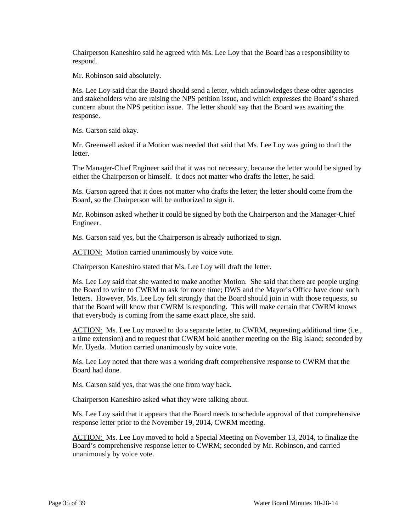Chairperson Kaneshiro said he agreed with Ms. Lee Loy that the Board has a responsibility to respond.

Mr. Robinson said absolutely.

Ms. Lee Loy said that the Board should send a letter, which acknowledges these other agencies and stakeholders who are raising the NPS petition issue, and which expresses the Board's shared concern about the NPS petition issue. The letter should say that the Board was awaiting the response.

Ms. Garson said okay.

Mr. Greenwell asked if a Motion was needed that said that Ms. Lee Loy was going to draft the letter.

The Manager-Chief Engineer said that it was not necessary, because the letter would be signed by either the Chairperson or himself. It does not matter who drafts the letter, he said.

Ms. Garson agreed that it does not matter who drafts the letter; the letter should come from the Board, so the Chairperson will be authorized to sign it.

Mr. Robinson asked whether it could be signed by both the Chairperson and the Manager-Chief Engineer.

Ms. Garson said yes, but the Chairperson is already authorized to sign.

ACTION: Motion carried unanimously by voice vote.

Chairperson Kaneshiro stated that Ms. Lee Loy will draft the letter.

Ms. Lee Loy said that she wanted to make another Motion. She said that there are people urging the Board to write to CWRM to ask for more time; DWS and the Mayor's Office have done such letters. However, Ms. Lee Loy felt strongly that the Board should join in with those requests, so that the Board will know that CWRM is responding. This will make certain that CWRM knows that everybody is coming from the same exact place, she said.

ACTION: Ms. Lee Loy moved to do a separate letter, to CWRM, requesting additional time (i.e., a time extension) and to request that CWRM hold another meeting on the Big Island; seconded by Mr. Uyeda. Motion carried unanimously by voice vote.

Ms. Lee Loy noted that there was a working draft comprehensive response to CWRM that the Board had done.

Ms. Garson said yes, that was the one from way back.

Chairperson Kaneshiro asked what they were talking about.

Ms. Lee Loy said that it appears that the Board needs to schedule approval of that comprehensive response letter prior to the November 19, 2014, CWRM meeting.

ACTION: Ms. Lee Loy moved to hold a Special Meeting on November 13, 2014, to finalize the Board's comprehensive response letter to CWRM; seconded by Mr. Robinson, and carried unanimously by voice vote.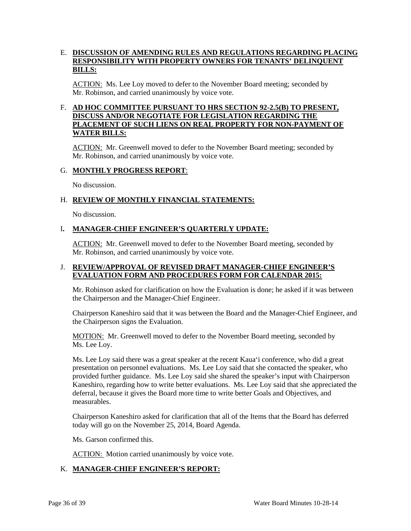# E. **DISCUSSION OF AMENDING RULES AND REGULATIONS REGARDING PLACING RESPONSIBILITY WITH PROPERTY OWNERS FOR TENANTS' DELINQUENT BILLS:**

ACTION: Ms. Lee Loy moved to defer to the November Board meeting; seconded by Mr. Robinson, and carried unanimously by voice vote.

# F. **AD HOC COMMITTEE PURSUANT TO HRS SECTION 92-2.5(B) TO PRESENT, DISCUSS AND/OR NEGOTIATE FOR LEGISLATION REGARDING THE PLACEMENT OF SUCH LIENS ON REAL PROPERTY FOR NON-PAYMENT OF WATER BILLS:**

ACTION: Mr. Greenwell moved to defer to the November Board meeting; seconded by Mr. Robinson, and carried unanimously by voice vote.

# G. **MONTHLY PROGRESS REPORT**:

No discussion.

# H. **REVIEW OF MONTHLY FINANCIAL STATEMENTS:**

No discussion.

# I**. MANAGER-CHIEF ENGINEER'S QUARTERLY UPDATE:**

ACTION: Mr. Greenwell moved to defer to the November Board meeting, seconded by Mr. Robinson, and carried unanimously by voice vote.

### J. **REVIEW/APPROVAL OF REVISED DRAFT MANAGER-CHIEF ENGINEER'S EVALUATION FORM AND PROCEDURES FORM FOR CALENDAR 2015:**

Mr. Robinson asked for clarification on how the Evaluation is done; he asked if it was between the Chairperson and the Manager-Chief Engineer.

Chairperson Kaneshiro said that it was between the Board and the Manager-Chief Engineer, and the Chairperson signs the Evaluation.

MOTION: Mr. Greenwell moved to defer to the November Board meeting, seconded by Ms. Lee Loy.

Ms. Lee Loy said there was a great speaker at the recent Kaua'i conference, who did a great presentation on personnel evaluations. Ms. Lee Loy said that she contacted the speaker, who provided further guidance. Ms. Lee Loy said she shared the speaker's input with Chairperson Kaneshiro, regarding how to write better evaluations. Ms. Lee Loy said that she appreciated the deferral, because it gives the Board more time to write better Goals and Objectives, and measurables.

Chairperson Kaneshiro asked for clarification that all of the Items that the Board has deferred today will go on the November 25, 2014, Board Agenda.

Ms. Garson confirmed this.

ACTION: Motion carried unanimously by voice vote.

# K. **MANAGER-CHIEF ENGINEER'S REPORT:**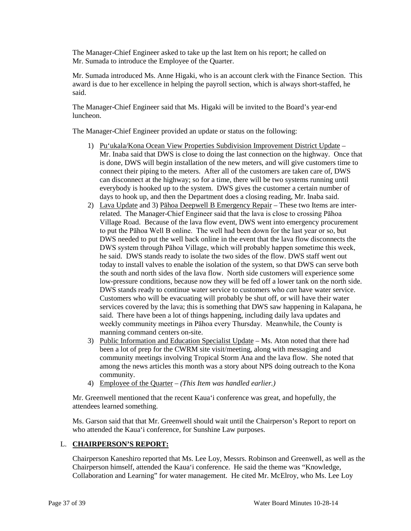The Manager-Chief Engineer asked to take up the last Item on his report; he called on Mr. Sumada to introduce the Employee of the Quarter.

Mr. Sumada introduced Ms. Anne Higaki, who is an account clerk with the Finance Section. This award is due to her excellence in helping the payroll section, which is always short-staffed, he said.

The Manager-Chief Engineer said that Ms. Higaki will be invited to the Board's year-end luncheon.

The Manager-Chief Engineer provided an update or status on the following:

- 1) Pu'ukala/Kona Ocean View Properties Subdivision Improvement District Update Mr. Inaba said that DWS is close to doing the last connection on the highway. Once that is done, DWS will begin installation of the new meters, and will give customers time to connect their piping to the meters. After all of the customers are taken care of, DWS can disconnect at the highway; so for a time, there will be two systems running until everybody is hooked up to the system. DWS gives the customer a certain number of days to hook up, and then the Department does a closing reading, Mr. Inaba said.
- 2) Lava Update and 3) Pāhoa Deepwell B Emergency Repair These two Items are interrelated. The Manager-Chief Engineer said that the lava is close to crossing Pāhoa Village Road. Because of the lava flow event, DWS went into emergency procurement to put the Pāhoa Well B online. The well had been down for the last year or so, but DWS needed to put the well back online in the event that the lava flow disconnects the DWS system through Pāhoa Village, which will probably happen sometime this week, he said. DWS stands ready to isolate the two sides of the flow. DWS staff went out today to install valves to enable the isolation of the system, so that DWS can serve both the south and north sides of the lava flow. North side customers will experience some low-pressure conditions, because now they will be fed off a lower tank on the north side. DWS stands ready to continue water service to customers who *can* have water service. Customers who will be evacuating will probably be shut off, or will have their water services covered by the lava; this is something that DWS saw happening in Kalapana, he said. There have been a lot of things happening, including daily lava updates and weekly community meetings in Pāhoa every Thursday. Meanwhile, the County is manning command centers on-site.
- 3) Public Information and Education Specialist Update Ms. Aton noted that there had been a lot of prep for the CWRM site visit/meeting, along with messaging and community meetings involving Tropical Storm Ana and the lava flow. She noted that among the news articles this month was a story about NPS doing outreach to the Kona community.
- 4) Employee of the Quarter *(This Item was handled earlier.)*

Mr. Greenwell mentioned that the recent Kaua'i conference was great, and hopefully, the attendees learned something.

Ms. Garson said that that Mr. Greenwell should wait until the Chairperson's Report to report on who attended the Kaua'i conference, for Sunshine Law purposes.

# L. **CHAIRPERSON'S REPORT:**

Chairperson Kaneshiro reported that Ms. Lee Loy, Messrs. Robinson and Greenwell, as well as the Chairperson himself, attended the Kaua'i conference. He said the theme was "Knowledge, Collaboration and Learning" for water management. He cited Mr. McElroy, who Ms. Lee Loy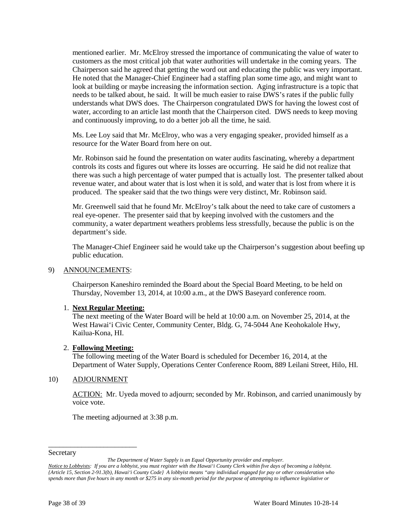mentioned earlier. Mr. McElroy stressed the importance of communicating the value of water to customers as the most critical job that water authorities will undertake in the coming years. The Chairperson said he agreed that getting the word out and educating the public was very important. He noted that the Manager-Chief Engineer had a staffing plan some time ago, and might want to look at building or maybe increasing the information section. Aging infrastructure is a topic that needs to be talked about, he said. It will be much easier to raise DWS's rates if the public fully understands what DWS does. The Chairperson congratulated DWS for having the lowest cost of water, according to an article last month that the Chairperson cited. DWS needs to keep moving and continuously improving, to do a better job all the time, he said.

Ms. Lee Loy said that Mr. McElroy, who was a very engaging speaker, provided himself as a resource for the Water Board from here on out.

Mr. Robinson said he found the presentation on water audits fascinating, whereby a department controls its costs and figures out where its losses are occurring. He said he did not realize that there was such a high percentage of water pumped that is actually lost. The presenter talked about revenue water, and about water that is lost when it is sold, and water that is lost from where it is produced. The speaker said that the two things were very distinct, Mr. Robinson said.

Mr. Greenwell said that he found Mr. McElroy's talk about the need to take care of customers a real eye-opener. The presenter said that by keeping involved with the customers and the community, a water department weathers problems less stressfully, because the public is on the department's side.

The Manager-Chief Engineer said he would take up the Chairperson's suggestion about beefing up public education.

#### 9) ANNOUNCEMENTS:

Chairperson Kaneshiro reminded the Board about the Special Board Meeting, to be held on Thursday, November 13, 2014, at 10:00 a.m., at the DWS Baseyard conference room.

### 1. **Next Regular Meeting:**

The next meeting of the Water Board will be held at 10:00 a.m. on November 25, 2014, at the West Hawai'i Civic Center, Community Center, Bldg. G, 74-5044 Ane Keohokalole Hwy, Kailua-Kona, HI.

#### 2. **Following Meeting:**

The following meeting of the Water Board is scheduled for December 16, 2014, at the Department of Water Supply, Operations Center Conference Room, 889 Leilani Street, Hilo, HI.

#### 10) ADJOURNMENT

\_\_\_\_\_\_\_\_\_\_\_\_\_\_\_\_\_\_\_\_\_\_\_\_

ACTION: Mr. Uyeda moved to adjourn; seconded by Mr. Robinson, and carried unanimously by voice vote.

The meeting adjourned at 3:38 p.m.

#### Secretary

*The Department of Water Supply is an Equal Opportunity provider and employer.*

*Notice to Lobbyists: If you are a lobbyist, you must register with the Hawai'i County Clerk within five days of becoming a lobbyist. {Article 15, Section 2-91.3(b), Hawai'i County Code} A lobbyist means "any individual engaged for pay or other consideration who spends more than five hours in any month or \$275 in any six-month period for the purpose of attempting to influence legislative or*